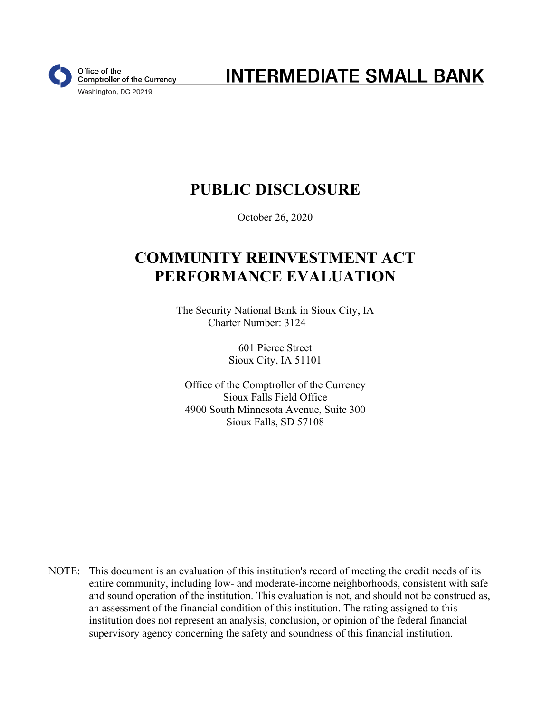

**INTERMEDIATE SMALL BANK** 

# **PUBLIC DISCLOSURE**

October 26, 2020

# **COMMUNITY REINVESTMENT ACT PERFORMANCE EVALUATION**

The Security National Bank in Sioux City, IA Charter Number: 3124

> 601 Pierce Street Sioux City, IA 51101

Office of the Comptroller of the Currency Sioux Falls Field Office 4900 South Minnesota Avenue, Suite 300 Sioux Falls, SD 57108

NOTE: This document is an evaluation of this institution's record of meeting the credit needs of its entire community, including low- and moderate-income neighborhoods, consistent with safe and sound operation of the institution. This evaluation is not, and should not be construed as, an assessment of the financial condition of this institution. The rating assigned to this institution does not represent an analysis, conclusion, or opinion of the federal financial supervisory agency concerning the safety and soundness of this financial institution.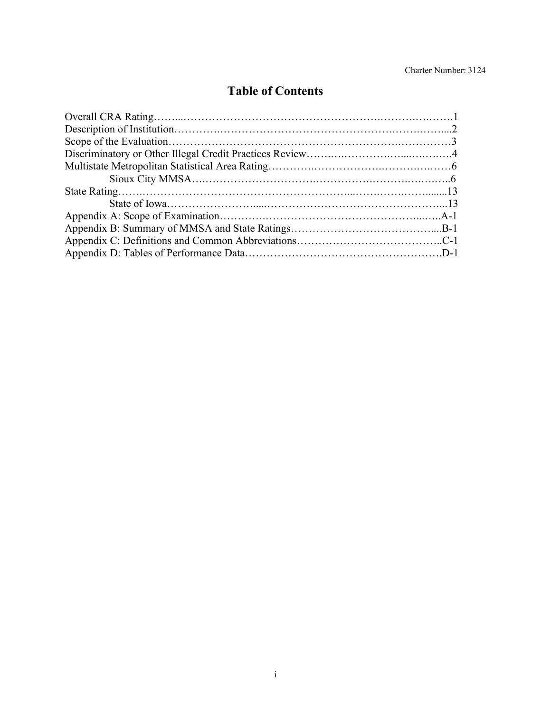## **Table of Contents**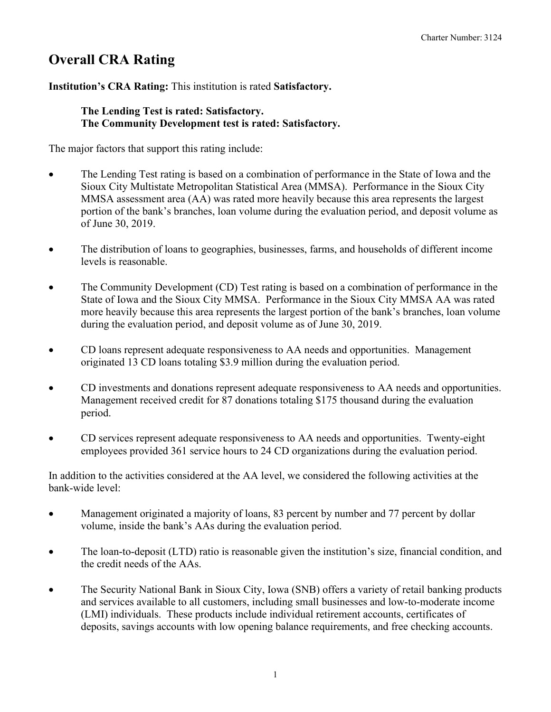# **Overall CRA Rating**

#### **Institution's CRA Rating:** This institution is rated **Satisfactory.**

#### **The Lending Test is rated: Satisfactory. The Community Development test is rated: Satisfactory.**

The major factors that support this rating include:

- The Lending Test rating is based on a combination of performance in the State of Iowa and the Sioux City Multistate Metropolitan Statistical Area (MMSA). Performance in the Sioux City MMSA assessment area (AA) was rated more heavily because this area represents the largest portion of the bank's branches, loan volume during the evaluation period, and deposit volume as of June 30, 2019.
- The distribution of loans to geographies, businesses, farms, and households of different income levels is reasonable.
- The Community Development (CD) Test rating is based on a combination of performance in the State of Iowa and the Sioux City MMSA. Performance in the Sioux City MMSA AA was rated more heavily because this area represents the largest portion of the bank's branches, loan volume during the evaluation period, and deposit volume as of June 30, 2019.
- CD loans represent adequate responsiveness to AA needs and opportunities. Management originated 13 CD loans totaling \$3.9 million during the evaluation period.
- CD investments and donations represent adequate responsiveness to AA needs and opportunities. Management received credit for 87 donations totaling \$175 thousand during the evaluation period.
- CD services represent adequate responsiveness to AA needs and opportunities. Twenty-eight employees provided 361 service hours to 24 CD organizations during the evaluation period.

In addition to the activities considered at the AA level, we considered the following activities at the bank-wide level:

- Management originated a majority of loans, 83 percent by number and 77 percent by dollar volume, inside the bank's AAs during the evaluation period.
- The loan-to-deposit (LTD) ratio is reasonable given the institution's size, financial condition, and the credit needs of the AAs.
- The Security National Bank in Sioux City, Iowa (SNB) offers a variety of retail banking products and services available to all customers, including small businesses and low-to-moderate income (LMI) individuals. These products include individual retirement accounts, certificates of deposits, savings accounts with low opening balance requirements, and free checking accounts.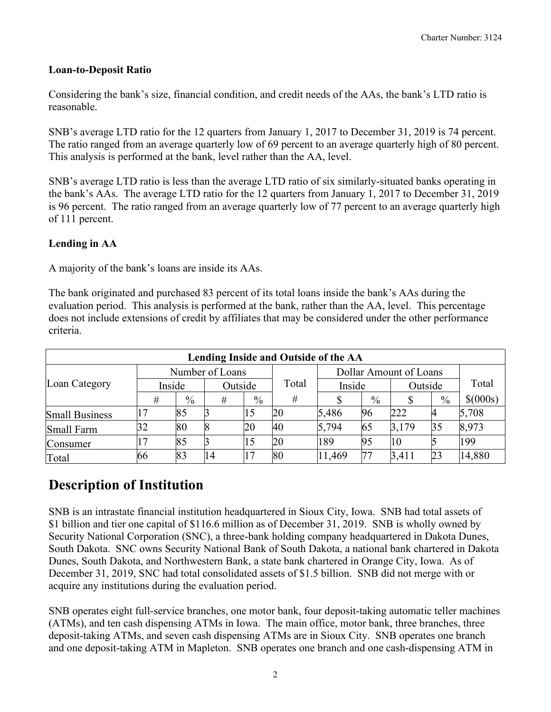#### **Loan-to-Deposit Ratio**

Considering the bank's size, financial condition, and credit needs of the AAs, the bank's LTD ratio is reasonable.

SNB's average LTD ratio for the 12 quarters from January 1, 2017 to December 31, 2019 is 74 percent. The ratio ranged from an average quarterly low of 69 percent to an average quarterly high of 80 percent. This analysis is performed at the bank, level rather than the AA, level.

SNB's average LTD ratio is less than the average LTD ratio of six similarly-situated banks operating in the bank's AAs. The average LTD ratio for the 12 quarters from January 1, 2017 to December 31, 2019 is 96 percent. The ratio ranged from an average quarterly low of 77 percent to an average quarterly high of 111 percent.

#### **Lending in AA**

A majority of the bank's loans are inside its AAs.

The bank originated and purchased 83 percent of its total loans inside the bank's AAs during the evaluation period. This analysis is performed at the bank, rather than the AA, level. This percentage does not include extensions of credit by affiliates that may be considered under the other performance criteria.

| Lending Inside and Outside of the AA |        |               |                 |               |       |        |               |                        |               |          |  |  |
|--------------------------------------|--------|---------------|-----------------|---------------|-------|--------|---------------|------------------------|---------------|----------|--|--|
|                                      |        |               | Number of Loans |               |       |        |               | Dollar Amount of Loans |               |          |  |  |
| Loan Category                        | Inside |               | Outside         |               | Total | Inside |               | Outside                |               | Total    |  |  |
|                                      | #      | $\frac{0}{0}$ | #               | $\frac{0}{0}$ | #     |        | $\frac{0}{0}$ |                        | $\frac{0}{0}$ | \$(000s) |  |  |
| <b>Small Business</b>                |        | 85            |                 |               | 20    | 5,486  | 96            | 222                    |               | 5,708    |  |  |
| Small Farm                           | 32     | 80            |                 | 20            | 40    | 5,794  | 65            | 3,179                  | 35            | 8,973    |  |  |
| Consumer                             |        | 85            |                 |               | 20    | 189    | 95            | 10                     |               | 199      |  |  |
| Total                                | 66     | 83            | 14              |               | 80    | 11,469 | 77            | 3,411                  | 23            | 14,880   |  |  |

## **Description of Institution**

SNB is an intrastate financial institution headquartered in Sioux City, Iowa. SNB had total assets of \$1 billion and tier one capital of \$116.6 million as of December 31, 2019. SNB is wholly owned by Security National Corporation (SNC), a three-bank holding company headquartered in Dakota Dunes, South Dakota. SNC owns Security National Bank of South Dakota, a national bank chartered in Dakota Dunes, South Dakota, and Northwestern Bank, a state bank chartered in Orange City, Iowa. As of December 31, 2019, SNC had total consolidated assets of \$1.5 billion. SNB did not merge with or acquire any institutions during the evaluation period.

SNB operates eight full-service branches, one motor bank, four deposit-taking automatic teller machines (ATMs), and ten cash dispensing ATMs in Iowa. The main office, motor bank, three branches, three deposit-taking ATMs, and seven cash dispensing ATMs are in Sioux City. SNB operates one branch and one deposit-taking ATM in Mapleton. SNB operates one branch and one cash-dispensing ATM in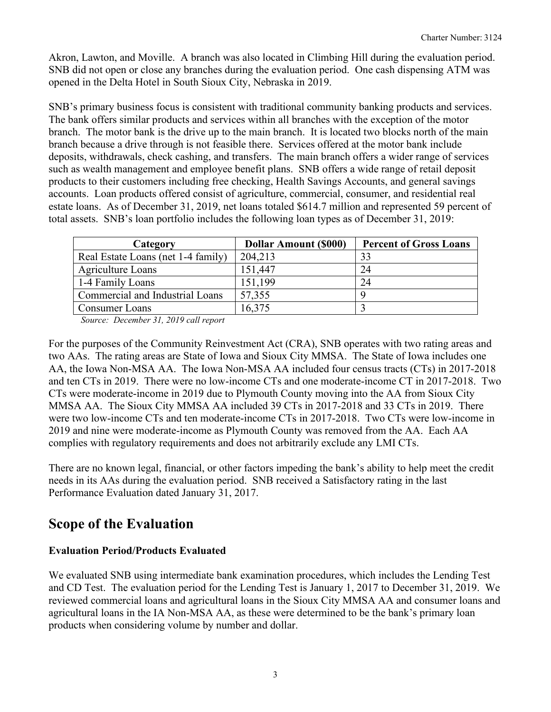Akron, Lawton, and Moville. A branch was also located in Climbing Hill during the evaluation period. SNB did not open or close any branches during the evaluation period. One cash dispensing ATM was opened in the Delta Hotel in South Sioux City, Nebraska in 2019.

SNB's primary business focus is consistent with traditional community banking products and services. The bank offers similar products and services within all branches with the exception of the motor branch. The motor bank is the drive up to the main branch. It is located two blocks north of the main branch because a drive through is not feasible there. Services offered at the motor bank include deposits, withdrawals, check cashing, and transfers. The main branch offers a wider range of services such as wealth management and employee benefit plans. SNB offers a wide range of retail deposit products to their customers including free checking, Health Savings Accounts, and general savings accounts. Loan products offered consist of agriculture, commercial, consumer, and residential real estate loans. As of December 31, 2019, net loans totaled \$614.7 million and represented 59 percent of total assets. SNB's loan portfolio includes the following loan types as of December 31, 2019:

| Category                           | <b>Dollar Amount (\$000)</b> | <b>Percent of Gross Loans</b> |
|------------------------------------|------------------------------|-------------------------------|
| Real Estate Loans (net 1-4 family) | 204,213                      | 33                            |
| <b>Agriculture Loans</b>           | 151,447                      | 24                            |
| 1-4 Family Loans                   | 151,199                      | 24                            |
| Commercial and Industrial Loans    | 57,355                       |                               |
| Consumer Loans                     | 16,375                       |                               |

*Source: December 31, 2019 call report*

For the purposes of the Community Reinvestment Act (CRA), SNB operates with two rating areas and two AAs. The rating areas are State of Iowa and Sioux City MMSA. The State of Iowa includes one AA, the Iowa Non-MSA AA. The Iowa Non-MSA AA included four census tracts (CTs) in 2017-2018 and ten CTs in 2019. There were no low-income CTs and one moderate-income CT in 2017-2018. Two CTs were moderate-income in 2019 due to Plymouth County moving into the AA from Sioux City MMSA AA. The Sioux City MMSA AA included 39 CTs in 2017-2018 and 33 CTs in 2019. There were two low-income CTs and ten moderate-income CTs in 2017-2018. Two CTs were low-income in 2019 and nine were moderate-income as Plymouth County was removed from the AA. Each AA complies with regulatory requirements and does not arbitrarily exclude any LMI CTs.

There are no known legal, financial, or other factors impeding the bank's ability to help meet the credit needs in its AAs during the evaluation period. SNB received a Satisfactory rating in the last Performance Evaluation dated January 31, 2017.

## **Scope of the Evaluation**

#### **Evaluation Period/Products Evaluated**

We evaluated SNB using intermediate bank examination procedures, which includes the Lending Test and CD Test. The evaluation period for the Lending Test is January 1, 2017 to December 31, 2019. We reviewed commercial loans and agricultural loans in the Sioux City MMSA AA and consumer loans and agricultural loans in the IA Non-MSA AA, as these were determined to be the bank's primary loan products when considering volume by number and dollar.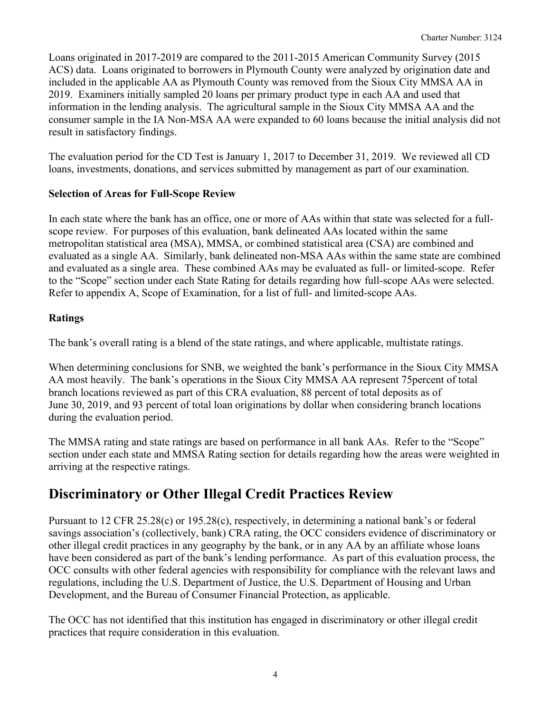Loans originated in 2017-2019 are compared to the 2011-2015 American Community Survey (2015 ACS) data. Loans originated to borrowers in Plymouth County were analyzed by origination date and included in the applicable AA as Plymouth County was removed from the Sioux City MMSA AA in 2019. Examiners initially sampled 20 loans per primary product type in each AA and used that information in the lending analysis. The agricultural sample in the Sioux City MMSA AA and the consumer sample in the IA Non-MSA AA were expanded to 60 loans because the initial analysis did not result in satisfactory findings.

The evaluation period for the CD Test is January 1, 2017 to December 31, 2019. We reviewed all CD loans, investments, donations, and services submitted by management as part of our examination.

#### **Selection of Areas for Full-Scope Review**

In each state where the bank has an office, one or more of AAs within that state was selected for a fullscope review. For purposes of this evaluation, bank delineated AAs located within the same metropolitan statistical area (MSA), MMSA, or combined statistical area (CSA) are combined and evaluated as a single AA. Similarly, bank delineated non-MSA AAs within the same state are combined and evaluated as a single area. These combined AAs may be evaluated as full- or limited-scope. Refer to the "Scope" section under each State Rating for details regarding how full-scope AAs were selected. Refer to appendix A, Scope of Examination, for a list of full- and limited-scope AAs.

#### **Ratings**

The bank's overall rating is a blend of the state ratings, and where applicable, multistate ratings.

When determining conclusions for SNB, we weighted the bank's performance in the Sioux City MMSA AA most heavily. The bank's operations in the Sioux City MMSA AA represent 75percent of total branch locations reviewed as part of this CRA evaluation, 88 percent of total deposits as of June 30, 2019, and 93 percent of total loan originations by dollar when considering branch locations during the evaluation period.

The MMSA rating and state ratings are based on performance in all bank AAs. Refer to the "Scope" section under each state and MMSA Rating section for details regarding how the areas were weighted in arriving at the respective ratings.

## **Discriminatory or Other Illegal Credit Practices Review**

Pursuant to 12 CFR 25.28(c) or 195.28(c), respectively, in determining a national bank's or federal savings association's (collectively, bank) CRA rating, the OCC considers evidence of discriminatory or other illegal credit practices in any geography by the bank, or in any AA by an affiliate whose loans have been considered as part of the bank's lending performance. As part of this evaluation process, the OCC consults with other federal agencies with responsibility for compliance with the relevant laws and regulations, including the U.S. Department of Justice, the U.S. Department of Housing and Urban Development, and the Bureau of Consumer Financial Protection, as applicable.

The OCC has not identified that this institution has engaged in discriminatory or other illegal credit practices that require consideration in this evaluation.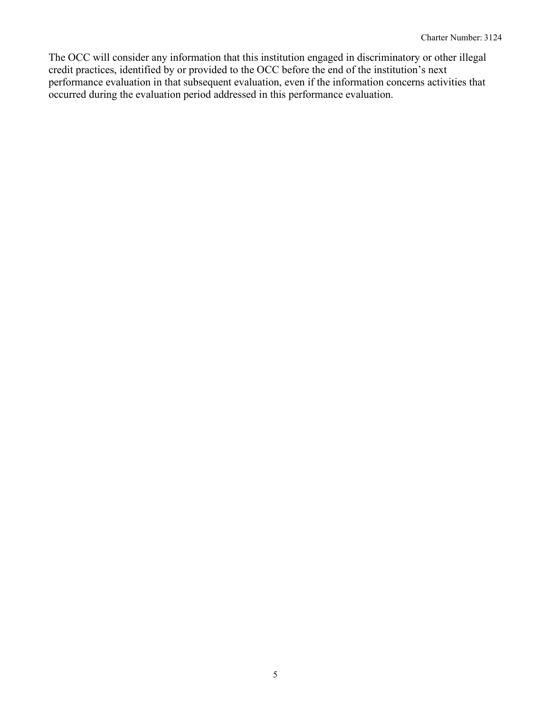The OCC will consider any information that this institution engaged in discriminatory or other illegal credit practices, identified by or provided to the OCC before the end of the institution's next performance evaluation in that subsequent evaluation, even if the information concerns activities that occurred during the evaluation period addressed in this performance evaluation.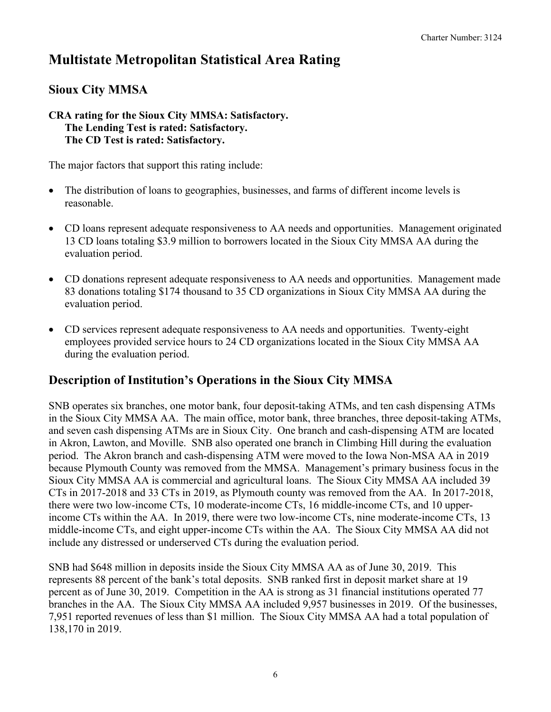## **Multistate Metropolitan Statistical Area Rating**

## **Sioux City MMSA**

#### **CRA rating for the Sioux City MMSA: Satisfactory. The Lending Test is rated: Satisfactory. The CD Test is rated: Satisfactory.**

The major factors that support this rating include:

- The distribution of loans to geographies, businesses, and farms of different income levels is reasonable.
- CD loans represent adequate responsiveness to AA needs and opportunities. Management originated 13 CD loans totaling \$3.9 million to borrowers located in the Sioux City MMSA AA during the evaluation period.
- CD donations represent adequate responsiveness to AA needs and opportunities. Management made 83 donations totaling \$174 thousand to 35 CD organizations in Sioux City MMSA AA during the evaluation period.
- CD services represent adequate responsiveness to AA needs and opportunities. Twenty-eight employees provided service hours to 24 CD organizations located in the Sioux City MMSA AA during the evaluation period.

## **Description of Institution's Operations in the Sioux City MMSA**

SNB operates six branches, one motor bank, four deposit-taking ATMs, and ten cash dispensing ATMs in the Sioux City MMSA AA. The main office, motor bank, three branches, three deposit-taking ATMs, and seven cash dispensing ATMs are in Sioux City. One branch and cash-dispensing ATM are located in Akron, Lawton, and Moville. SNB also operated one branch in Climbing Hill during the evaluation period. The Akron branch and cash-dispensing ATM were moved to the Iowa Non-MSA AA in 2019 because Plymouth County was removed from the MMSA. Management's primary business focus in the Sioux City MMSA AA is commercial and agricultural loans. The Sioux City MMSA AA included 39 CTs in 2017-2018 and 33 CTs in 2019, as Plymouth county was removed from the AA. In 2017-2018, there were two low-income CTs, 10 moderate-income CTs, 16 middle-income CTs, and 10 upperincome CTs within the AA. In 2019, there were two low-income CTs, nine moderate-income CTs, 13 middle-income CTs, and eight upper-income CTs within the AA. The Sioux City MMSA AA did not include any distressed or underserved CTs during the evaluation period.

SNB had \$648 million in deposits inside the Sioux City MMSA AA as of June 30, 2019. This represents 88 percent of the bank's total deposits. SNB ranked first in deposit market share at 19 percent as of June 30, 2019. Competition in the AA is strong as 31 financial institutions operated 77 branches in the AA. The Sioux City MMSA AA included 9,957 businesses in 2019. Of the businesses, 7,951 reported revenues of less than \$1 million. The Sioux City MMSA AA had a total population of 138,170 in 2019.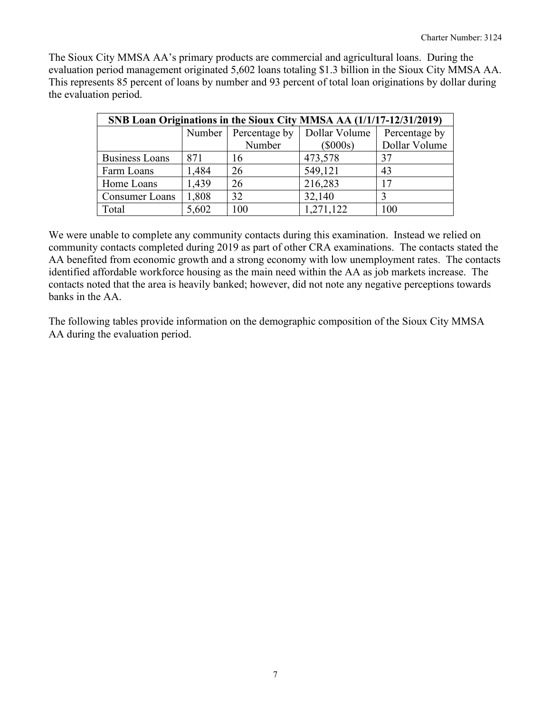The Sioux City MMSA AA's primary products are commercial and agricultural loans. During the evaluation period management originated 5,602 loans totaling \$1.3 billion in the Sioux City MMSA AA. This represents 85 percent of loans by number and 93 percent of total loan originations by dollar during the evaluation period.

| SNB Loan Originations in the Sioux City MMSA AA (1/1/17-12/31/2019) |        |               |               |               |  |  |  |  |  |  |
|---------------------------------------------------------------------|--------|---------------|---------------|---------------|--|--|--|--|--|--|
|                                                                     | Number | Percentage by | Dollar Volume | Percentage by |  |  |  |  |  |  |
|                                                                     |        | Number        | $(\$000s)$    | Dollar Volume |  |  |  |  |  |  |
| <b>Business Loans</b>                                               | 871    | 16            | 473,578       | 37            |  |  |  |  |  |  |
| Farm Loans                                                          | 1,484  | 26            | 549,121       | 43            |  |  |  |  |  |  |
| Home Loans                                                          | 1,439  | 26            | 216,283       | 17            |  |  |  |  |  |  |
| <b>Consumer Loans</b>                                               | 1,808  | 32            | 32,140        |               |  |  |  |  |  |  |
| Total                                                               | 5,602  | 100           | 1,271,122     | 100           |  |  |  |  |  |  |

We were unable to complete any community contacts during this examination. Instead we relied on community contacts completed during 2019 as part of other CRA examinations. The contacts stated the AA benefited from economic growth and a strong economy with low unemployment rates. The contacts identified affordable workforce housing as the main need within the AA as job markets increase. The contacts noted that the area is heavily banked; however, did not note any negative perceptions towards banks in the AA.

The following tables provide information on the demographic composition of the Sioux City MMSA AA during the evaluation period.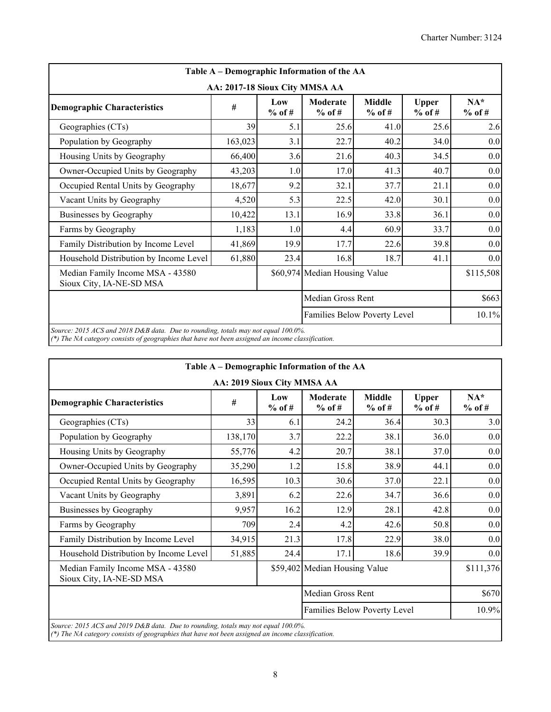| <b>Middle</b><br>$%$ of #<br>41.0<br>40.2<br>40.3<br>41.3                                                                                                                                                                                                | <b>Upper</b><br>$%$ of #<br>25.6<br>34.0<br>34.5 | $NA*$<br>$%$ of #<br>2.6<br>0.0<br>0.0 |  |  |  |  |  |  |  |
|----------------------------------------------------------------------------------------------------------------------------------------------------------------------------------------------------------------------------------------------------------|--------------------------------------------------|----------------------------------------|--|--|--|--|--|--|--|
|                                                                                                                                                                                                                                                          |                                                  |                                        |  |  |  |  |  |  |  |
|                                                                                                                                                                                                                                                          |                                                  |                                        |  |  |  |  |  |  |  |
|                                                                                                                                                                                                                                                          |                                                  |                                        |  |  |  |  |  |  |  |
|                                                                                                                                                                                                                                                          |                                                  |                                        |  |  |  |  |  |  |  |
|                                                                                                                                                                                                                                                          |                                                  |                                        |  |  |  |  |  |  |  |
| 17.0<br>40.7                                                                                                                                                                                                                                             |                                                  |                                        |  |  |  |  |  |  |  |
| 37.7                                                                                                                                                                                                                                                     | 21.1                                             | 0.0                                    |  |  |  |  |  |  |  |
| 42.0                                                                                                                                                                                                                                                     | 30.1                                             | 0.0                                    |  |  |  |  |  |  |  |
| 33.8                                                                                                                                                                                                                                                     | 36.1                                             | 0.0                                    |  |  |  |  |  |  |  |
| 60.9                                                                                                                                                                                                                                                     | 33.7                                             | 0.0                                    |  |  |  |  |  |  |  |
| 22.6                                                                                                                                                                                                                                                     | 39.8                                             | 0.0                                    |  |  |  |  |  |  |  |
| 18.7                                                                                                                                                                                                                                                     | 41.1                                             | 0.0                                    |  |  |  |  |  |  |  |
| \$60,974 Median Housing Value<br>Median Family Income MSA - 43580<br>Sioux City, IA-NE-SD MSA                                                                                                                                                            |                                                  |                                        |  |  |  |  |  |  |  |
|                                                                                                                                                                                                                                                          |                                                  | \$663                                  |  |  |  |  |  |  |  |
| Families Below Poverty Level                                                                                                                                                                                                                             |                                                  |                                        |  |  |  |  |  |  |  |
| 10,422<br>13.1<br>16.9<br>Businesses by Geography<br>Farms by Geography<br>1,183<br>1.0<br>4.4<br>41,869<br>19.9<br>17.7<br>Family Distribution by Income Level<br>61,880<br>23.4<br>16.8<br>Household Distribution by Income Level<br>Median Gross Rent |                                                  |                                        |  |  |  |  |  |  |  |

*(\*) The NA category consists of geographies that have not been assigned an income classification.*

| Low<br>$%$ of #<br>6.1<br>3.7<br>4.2<br>1.2<br>10.3<br>6.2                                                                                                     | AA: 2019 Sioux City MMSA AA<br>Moderate<br>$%$ of #<br>24.2<br>22.2<br>20.7<br>15.8<br>30.6<br>22.6 | <b>Middle</b><br>$%$ of #<br>36.4<br>38.1<br>38.1<br>38.9<br>37.0 | <b>Upper</b><br>$%$ of #<br>30.3<br>36.0<br>37.0<br>44.1<br>22.1 | $NA*$<br>$%$ of #                                                                                                 |  |  |  |
|----------------------------------------------------------------------------------------------------------------------------------------------------------------|-----------------------------------------------------------------------------------------------------|-------------------------------------------------------------------|------------------------------------------------------------------|-------------------------------------------------------------------------------------------------------------------|--|--|--|
|                                                                                                                                                                |                                                                                                     |                                                                   |                                                                  |                                                                                                                   |  |  |  |
|                                                                                                                                                                |                                                                                                     |                                                                   |                                                                  | 3.0                                                                                                               |  |  |  |
|                                                                                                                                                                |                                                                                                     |                                                                   |                                                                  | 0.0                                                                                                               |  |  |  |
|                                                                                                                                                                |                                                                                                     |                                                                   |                                                                  | 0.0<br>0.0<br>0.0<br>0.0                                                                                          |  |  |  |
|                                                                                                                                                                |                                                                                                     |                                                                   |                                                                  |                                                                                                                   |  |  |  |
|                                                                                                                                                                |                                                                                                     |                                                                   |                                                                  |                                                                                                                   |  |  |  |
|                                                                                                                                                                |                                                                                                     |                                                                   |                                                                  |                                                                                                                   |  |  |  |
|                                                                                                                                                                |                                                                                                     | 34.7<br>36.6                                                      |                                                                  |                                                                                                                   |  |  |  |
| 16.2                                                                                                                                                           | 12.9                                                                                                | 28.1                                                              | 0.0                                                              |                                                                                                                   |  |  |  |
| 2.4                                                                                                                                                            | 4.2                                                                                                 | 42.6                                                              | 50.8                                                             | 0.0                                                                                                               |  |  |  |
| 21.3                                                                                                                                                           | 17.8                                                                                                | 22.9                                                              | 38.0                                                             | 0.0                                                                                                               |  |  |  |
| 24.4                                                                                                                                                           | 17.1                                                                                                | 18.6                                                              | 39.9                                                             | 0.0                                                                                                               |  |  |  |
| 51,885<br>Household Distribution by Income Level<br>\$111,376<br>Median Family Income MSA - 43580<br>\$59,402 Median Housing Value<br>Sioux City, IA-NE-SD MSA |                                                                                                     |                                                                   |                                                                  |                                                                                                                   |  |  |  |
|                                                                                                                                                                |                                                                                                     |                                                                   |                                                                  | \$670                                                                                                             |  |  |  |
|                                                                                                                                                                |                                                                                                     |                                                                   |                                                                  | 10.9%                                                                                                             |  |  |  |
|                                                                                                                                                                |                                                                                                     |                                                                   | Median Gross Rent                                                | Families Below Poverty Level<br>Source: 2015 ACS and 2019 D&B data. Due to rounding, totals may not equal 100.0%. |  |  |  |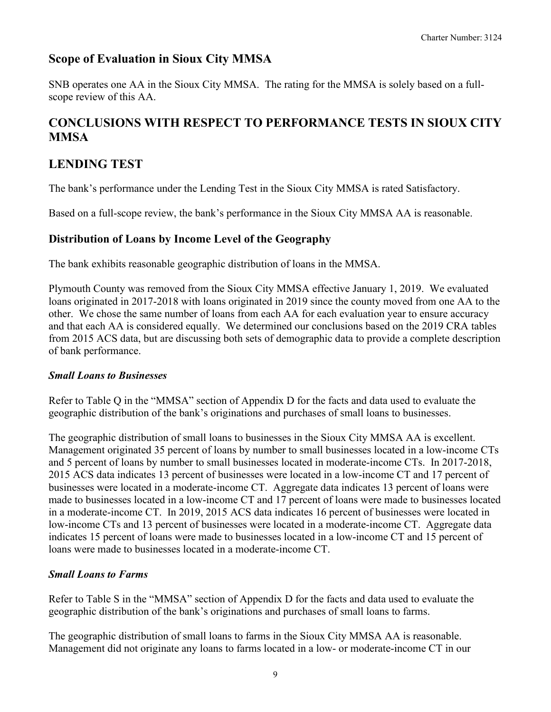### **Scope of Evaluation in Sioux City MMSA**

SNB operates one AA in the Sioux City MMSA. The rating for the MMSA is solely based on a fullscope review of this AA.

## **CONCLUSIONS WITH RESPECT TO PERFORMANCE TESTS IN SIOUX CITY MMSA**

## **LENDING TEST**

The bank's performance under the Lending Test in the Sioux City MMSA is rated Satisfactory.

Based on a full-scope review, the bank's performance in the Sioux City MMSA AA is reasonable.

### **Distribution of Loans by Income Level of the Geography**

The bank exhibits reasonable geographic distribution of loans in the MMSA.

Plymouth County was removed from the Sioux City MMSA effective January 1, 2019. We evaluated loans originated in 2017-2018 with loans originated in 2019 since the county moved from one AA to the other. We chose the same number of loans from each AA for each evaluation year to ensure accuracy and that each AA is considered equally. We determined our conclusions based on the 2019 CRA tables from 2015 ACS data, but are discussing both sets of demographic data to provide a complete description of bank performance.

#### *Small Loans to Businesses*

Refer to Table Q in the "MMSA" section of Appendix D for the facts and data used to evaluate the geographic distribution of the bank's originations and purchases of small loans to businesses.

The geographic distribution of small loans to businesses in the Sioux City MMSA AA is excellent. Management originated 35 percent of loans by number to small businesses located in a low-income CTs and 5 percent of loans by number to small businesses located in moderate-income CTs. In 2017-2018, 2015 ACS data indicates 13 percent of businesses were located in a low-income CT and 17 percent of businesses were located in a moderate-income CT. Aggregate data indicates 13 percent of loans were made to businesses located in a low-income CT and 17 percent of loans were made to businesses located in a moderate-income CT. In 2019, 2015 ACS data indicates 16 percent of businesses were located in low-income CTs and 13 percent of businesses were located in a moderate-income CT. Aggregate data indicates 15 percent of loans were made to businesses located in a low-income CT and 15 percent of loans were made to businesses located in a moderate-income CT.

#### *Small Loans to Farms*

Refer to Table S in the "MMSA" section of Appendix D for the facts and data used to evaluate the geographic distribution of the bank's originations and purchases of small loans to farms.

The geographic distribution of small loans to farms in the Sioux City MMSA AA is reasonable. Management did not originate any loans to farms located in a low- or moderate-income CT in our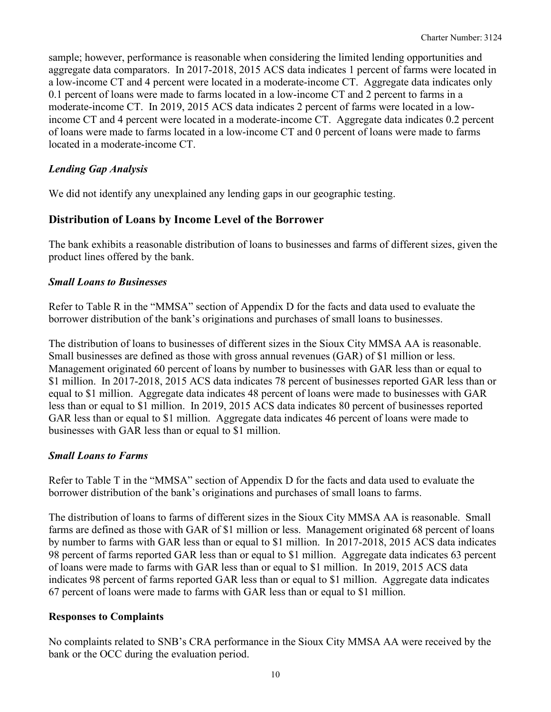sample; however, performance is reasonable when considering the limited lending opportunities and aggregate data comparators. In 2017-2018, 2015 ACS data indicates 1 percent of farms were located in a low-income CT and 4 percent were located in a moderate-income CT. Aggregate data indicates only 0.1 percent of loans were made to farms located in a low-income CT and 2 percent to farms in a moderate-income CT. In 2019, 2015 ACS data indicates 2 percent of farms were located in a lowincome CT and 4 percent were located in a moderate-income CT. Aggregate data indicates 0.2 percent of loans were made to farms located in a low-income CT and 0 percent of loans were made to farms located in a moderate-income CT.

#### *Lending Gap Analysis*

We did not identify any unexplained any lending gaps in our geographic testing.

#### **Distribution of Loans by Income Level of the Borrower**

The bank exhibits a reasonable distribution of loans to businesses and farms of different sizes, given the product lines offered by the bank.

#### *Small Loans to Businesses*

Refer to Table R in the "MMSA" section of Appendix D for the facts and data used to evaluate the borrower distribution of the bank's originations and purchases of small loans to businesses.

The distribution of loans to businesses of different sizes in the Sioux City MMSA AA is reasonable. Small businesses are defined as those with gross annual revenues (GAR) of \$1 million or less. Management originated 60 percent of loans by number to businesses with GAR less than or equal to \$1 million. In 2017-2018, 2015 ACS data indicates 78 percent of businesses reported GAR less than or equal to \$1 million. Aggregate data indicates 48 percent of loans were made to businesses with GAR less than or equal to \$1 million. In 2019, 2015 ACS data indicates 80 percent of businesses reported GAR less than or equal to \$1 million. Aggregate data indicates 46 percent of loans were made to businesses with GAR less than or equal to \$1 million.

#### *Small Loans to Farms*

Refer to Table T in the "MMSA" section of Appendix D for the facts and data used to evaluate the borrower distribution of the bank's originations and purchases of small loans to farms.

The distribution of loans to farms of different sizes in the Sioux City MMSA AA is reasonable. Small farms are defined as those with GAR of \$1 million or less. Management originated 68 percent of loans by number to farms with GAR less than or equal to \$1 million. In 2017-2018, 2015 ACS data indicates 98 percent of farms reported GAR less than or equal to \$1 million. Aggregate data indicates 63 percent of loans were made to farms with GAR less than or equal to \$1 million. In 2019, 2015 ACS data indicates 98 percent of farms reported GAR less than or equal to \$1 million. Aggregate data indicates 67 percent of loans were made to farms with GAR less than or equal to \$1 million.

#### **Responses to Complaints**

No complaints related to SNB's CRA performance in the Sioux City MMSA AA were received by the bank or the OCC during the evaluation period.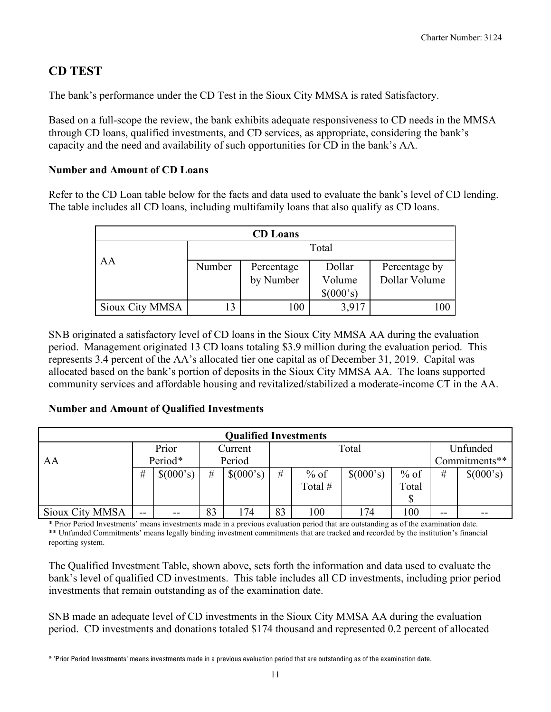## **CD TEST**

The bank's performance under the CD Test in the Sioux City MMSA is rated Satisfactory.

Based on a full-scope the review, the bank exhibits adequate responsiveness to CD needs in the MMSA through CD loans, qualified investments, and CD services, as appropriate, considering the bank's capacity and the need and availability of such opportunities for CD in the bank's AA.

#### **Number and Amount of CD Loans**

Refer to the CD Loan table below for the facts and data used to evaluate the bank's level of CD lending. The table includes all CD loans, including multifamily loans that also qualify as CD loans.

|                 |        | <b>CD</b> Loans |           |               |
|-----------------|--------|-----------------|-----------|---------------|
|                 |        |                 | Total     |               |
| AA              | Number | Percentage      | Dollar    | Percentage by |
|                 |        | by Number       | Volume    | Dollar Volume |
|                 |        |                 | \$(000's) |               |
| Sioux City MMSA | 13     | 100             | 3,917     | 100           |

SNB originated a satisfactory level of CD loans in the Sioux City MMSA AA during the evaluation period. Management originated 13 CD loans totaling \$3.9 million during the evaluation period. This represents 3.4 percent of the AA's allocated tier one capital as of December 31, 2019. Capital was allocated based on the bank's portion of deposits in the Sioux City MMSA AA. The loans supported community services and affordable housing and revitalized/stabilized a moderate-income CT in the AA.

#### **Number and Amount of Qualified Investments**

| <b>Qualified Investments</b> |       |           |    |           |      |         |           |        |       |               |  |  |
|------------------------------|-------|-----------|----|-----------|------|---------|-----------|--------|-------|---------------|--|--|
|                              |       | Prior     |    | Current   |      |         | Total     |        |       | Unfunded      |  |  |
| AA                           |       | Period*   |    | Period    |      |         |           |        |       | Commitments** |  |  |
|                              | #     | \$(000's) | #  | \$(000's) | $\#$ | $%$ of  | \$(000's) | $%$ of | #     | \$(000's)     |  |  |
|                              |       |           |    |           |      | Total # |           | Total  |       |               |  |  |
|                              |       |           |    |           |      |         |           |        |       |               |  |  |
| Sioux City MMSA              | $- -$ | --        | 83 | 174       | 83   | 100     | 174       | 100    | $- -$ | $-$           |  |  |

\* Prior Period Investments' means investments made in a previous evaluation period that are outstanding as of the examination date. \*\* Unfunded Commitments' means legally binding investment commitments that are tracked and recorded by the institution's financial reporting system.

The Qualified Investment Table, shown above, sets forth the information and data used to evaluate the bank's level of qualified CD investments. This table includes all CD investments, including prior period investments that remain outstanding as of the examination date.

SNB made an adequate level of CD investments in the Sioux City MMSA AA during the evaluation period. CD investments and donations totaled \$174 thousand and represented 0.2 percent of allocated

<span id="page-12-0"></span><sup>\*</sup> 'Prior Period Investments' means investments made in a previous evaluation period that are outstanding as of the examination date.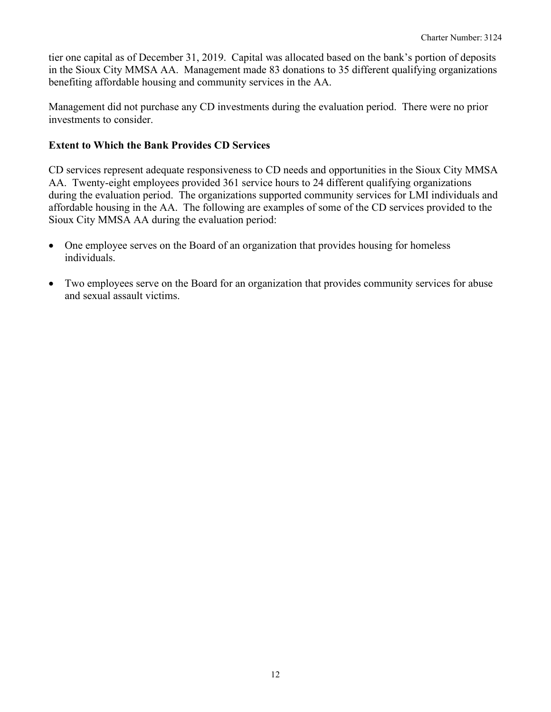tier one capital as of December 31, 2019. Capital was allocated based on the bank's portion of deposits in the Sioux City MMSA AA. Management made 83 donations to 35 different qualifying organizations benefiting affordable housing and community services in the AA.

Management did not purchase any CD investments during the evaluation period. There were no prior investments to consider.

#### **Extent to Which the Bank Provides CD Services**

CD services represent adequate responsiveness to CD needs and opportunities in the Sioux City MMSA AA. Twenty-eight employees provided 361 service hours to 24 different qualifying organizations during the evaluation period. The organizations supported community services for LMI individuals and affordable housing in the AA. The following are examples of some of the CD services provided to the Sioux City MMSA AA during the evaluation period:

- One employee serves on the Board of an organization that provides housing for homeless individuals.
- Two employees serve on the Board for an organization that provides community services for abuse and sexual assault victims.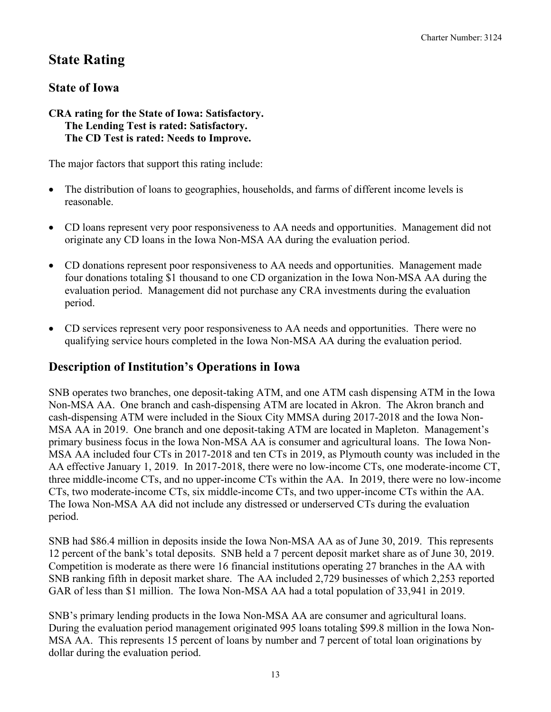## **State Rating**

### **State of Iowa**

#### **CRA rating for the State of Iowa: Satisfactory. The Lending Test is rated: Satisfactory. The CD Test is rated: Needs to Improve.**

The major factors that support this rating include:

- The distribution of loans to geographies, households, and farms of different income levels is reasonable.
- CD loans represent very poor responsiveness to AA needs and opportunities. Management did not originate any CD loans in the Iowa Non-MSA AA during the evaluation period.
- CD donations represent poor responsiveness to AA needs and opportunities. Management made four donations totaling \$1 thousand to one CD organization in the Iowa Non-MSA AA during the evaluation period. Management did not purchase any CRA investments during the evaluation period.
- CD services represent very poor responsiveness to AA needs and opportunities. There were no qualifying service hours completed in the Iowa Non-MSA AA during the evaluation period.

### **Description of Institution's Operations in Iowa**

SNB operates two branches, one deposit-taking ATM, and one ATM cash dispensing ATM in the Iowa Non-MSA AA. One branch and cash-dispensing ATM are located in Akron. The Akron branch and cash-dispensing ATM were included in the Sioux City MMSA during 2017-2018 and the Iowa Non-MSA AA in 2019. One branch and one deposit-taking ATM are located in Mapleton. Management's primary business focus in the Iowa Non-MSA AA is consumer and agricultural loans. The Iowa Non-MSA AA included four CTs in 2017-2018 and ten CTs in 2019, as Plymouth county was included in the AA effective January 1, 2019. In 2017-2018, there were no low-income CTs, one moderate-income CT, three middle-income CTs, and no upper-income CTs within the AA. In 2019, there were no low-income CTs, two moderate-income CTs, six middle-income CTs, and two upper-income CTs within the AA. The Iowa Non-MSA AA did not include any distressed or underserved CTs during the evaluation period.

SNB had \$86.4 million in deposits inside the Iowa Non-MSA AA as of June 30, 2019. This represents 12 percent of the bank's total deposits. SNB held a 7 percent deposit market share as of June 30, 2019. Competition is moderate as there were 16 financial institutions operating 27 branches in the AA with SNB ranking fifth in deposit market share. The AA included 2,729 businesses of which 2,253 reported GAR of less than \$1 million. The Iowa Non-MSA AA had a total population of 33,941 in 2019.

SNB's primary lending products in the Iowa Non-MSA AA are consumer and agricultural loans. During the evaluation period management originated 995 loans totaling \$99.8 million in the Iowa Non-MSA AA. This represents 15 percent of loans by number and 7 percent of total loan originations by dollar during the evaluation period.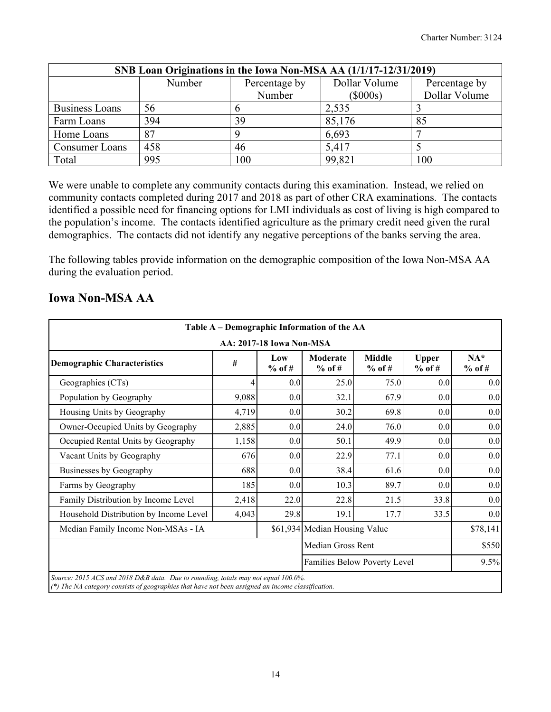| SNB Loan Originations in the Iowa Non-MSA AA (1/1/17-12/31/2019) |        |               |               |               |  |  |  |  |  |  |
|------------------------------------------------------------------|--------|---------------|---------------|---------------|--|--|--|--|--|--|
|                                                                  | Number | Dollar Volume | Percentage by |               |  |  |  |  |  |  |
|                                                                  |        | Number        | $(\$000s)$    | Dollar Volume |  |  |  |  |  |  |
| Business Loans                                                   | 56     |               | 2,535         |               |  |  |  |  |  |  |
| Farm Loans                                                       | 394    | 39            | 85,176        | 85            |  |  |  |  |  |  |
| Home Loans                                                       | 87     |               | 6,693         |               |  |  |  |  |  |  |
| Consumer Loans                                                   | 458    | 46            | 5,417         |               |  |  |  |  |  |  |
| Total                                                            | 995    | 100           | 99,821        | 100           |  |  |  |  |  |  |

We were unable to complete any community contacts during this examination. Instead, we relied on community contacts completed during 2017 and 2018 as part of other CRA examinations. The contacts identified a possible need for financing options for LMI individuals as cost of living is high compared to the population's income. The contacts identified agriculture as the primary credit need given the rural demographics. The contacts did not identify any negative perceptions of the banks serving the area.

The following tables provide information on the demographic composition of the Iowa Non-MSA AA during the evaluation period.

| Table A – Demographic Information of the AA                                                                                                                                             |                                                                                                       |                  |                              |             |      |      |  |  |  |  |  |
|-----------------------------------------------------------------------------------------------------------------------------------------------------------------------------------------|-------------------------------------------------------------------------------------------------------|------------------|------------------------------|-------------|------|------|--|--|--|--|--|
| AA: 2017-18 Iowa Non-MSA                                                                                                                                                                |                                                                                                       |                  |                              |             |      |      |  |  |  |  |  |
| <b>Demographic Characteristics</b>                                                                                                                                                      | <b>Middle</b><br>Moderate<br><b>Upper</b><br>Low<br>#<br>$%$ of #<br>$%$ of #<br>$%$ of #<br>$%$ of # |                  |                              |             |      |      |  |  |  |  |  |
| Geographies (CTs)                                                                                                                                                                       |                                                                                                       | 0.0 <sub>l</sub> | 25.0                         | 75.0        | 0.0  | 0.0  |  |  |  |  |  |
| Population by Geography                                                                                                                                                                 | 9,088                                                                                                 | 0.0              | 32.1                         | 67.9        | 0.0  | 0.0  |  |  |  |  |  |
| Housing Units by Geography                                                                                                                                                              | 4,719                                                                                                 | 0.0              | 30.2                         | 69.8        | 0.0  |      |  |  |  |  |  |
| Owner-Occupied Units by Geography                                                                                                                                                       | 2,885                                                                                                 | 0.0              | 24.0                         | 76.0<br>0.0 |      |      |  |  |  |  |  |
| Occupied Rental Units by Geography                                                                                                                                                      | 1,158                                                                                                 | 0.0              | 50.1                         | 49.9        | 0.0  | 0.0  |  |  |  |  |  |
| Vacant Units by Geography                                                                                                                                                               | 676                                                                                                   | 0.0              | 22.9                         | 77.1        | 0.0  | 0.0  |  |  |  |  |  |
| Businesses by Geography                                                                                                                                                                 | 688                                                                                                   | 0.0              | 38.4                         | 61.6        | 0.0  | 0.0  |  |  |  |  |  |
| Farms by Geography                                                                                                                                                                      | 185                                                                                                   | 0.0              | 10.3                         | 89.7        | 0.0  | 0.0  |  |  |  |  |  |
| Family Distribution by Income Level                                                                                                                                                     | 2,418                                                                                                 | 22.0             | 22.8                         | 21.5        | 33.8 | 0.0  |  |  |  |  |  |
| Household Distribution by Income Level                                                                                                                                                  | 4,043                                                                                                 | 29.8             | 19.1                         | 17.7        | 33.5 | 0.0  |  |  |  |  |  |
| Median Family Income Non-MSAs - IA                                                                                                                                                      | \$61,934 Median Housing Value                                                                         |                  |                              |             |      |      |  |  |  |  |  |
| Median Gross Rent                                                                                                                                                                       |                                                                                                       |                  |                              |             |      |      |  |  |  |  |  |
|                                                                                                                                                                                         |                                                                                                       |                  | Families Below Poverty Level |             |      | 9.5% |  |  |  |  |  |
| Source: 2015 ACS and 2018 D&B data. Due to rounding, totals may not equal 100.0%.<br>$(*)$ The NA category consists of geographies that have not been assigned an income classification |                                                                                                       |                  |                              |             |      |      |  |  |  |  |  |

### **Iowa Non-MSA AA**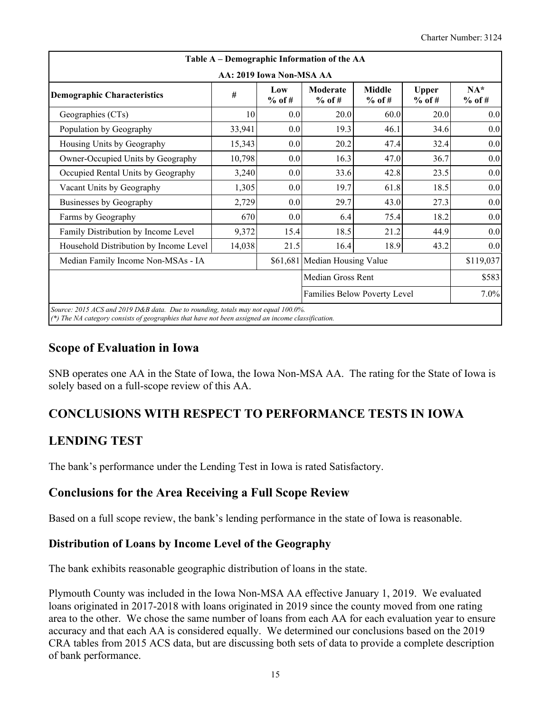| Table A – Demographic Information of the AA<br>AA: 2019 Iowa Non-MSA AA |        |                 |                      |                           |                          |                   |  |  |  |  |  |
|-------------------------------------------------------------------------|--------|-----------------|----------------------|---------------------------|--------------------------|-------------------|--|--|--|--|--|
| <b>Demographic Characteristics</b>                                      | #      | Low<br>$%$ of # | Moderate<br>$%$ of # | <b>Middle</b><br>$%$ of # | <b>Upper</b><br>$%$ of # | $NA*$<br>$%$ of # |  |  |  |  |  |
| Geographies (CTs)                                                       | 10     | 0.0             | 20.0                 | 60.0                      | 20.0                     | 0.0               |  |  |  |  |  |
| Population by Geography                                                 | 33,941 | 0.0             | 19.3                 | 46.1                      | 34.6                     | 0.0               |  |  |  |  |  |
| Housing Units by Geography                                              | 15,343 | 0.0             | 20.2                 | 47.4                      | 32.4                     | 0.0               |  |  |  |  |  |
| Owner-Occupied Units by Geography                                       | 10,798 | 0.0             | 16.3                 | 47.0                      | 36.7                     | 0.0               |  |  |  |  |  |
| Occupied Rental Units by Geography                                      | 3,240  | 0.0             | 33.6                 | 42.8                      | 23.5                     | 0.0               |  |  |  |  |  |
| Vacant Units by Geography                                               | 1,305  | 0.0             | 19.7                 | 61.8                      | 18.5                     | 0.0               |  |  |  |  |  |
| Businesses by Geography                                                 | 2,729  | 0.0             | 29.7                 | 43.0                      | 27.3                     | 0.0               |  |  |  |  |  |
| Farms by Geography                                                      | 670    | 0.0             | 6.4                  | 75.4                      | 18.2                     | 0.0               |  |  |  |  |  |
| Family Distribution by Income Level                                     | 9,372  | 15.4            | 18.5                 | 21.2                      | 44.9                     | 0.0               |  |  |  |  |  |
| Household Distribution by Income Level                                  | 14,038 | 21.5            | 16.4                 | 18.9                      | 43.2                     | 0.0               |  |  |  |  |  |
| \$61,681 Median Housing Value<br>Median Family Income Non-MSAs - IA     |        |                 |                      |                           |                          |                   |  |  |  |  |  |
|                                                                         |        |                 | Median Gross Rent    |                           |                          | \$583             |  |  |  |  |  |
| Families Below Poverty Level                                            |        |                 |                      |                           |                          |                   |  |  |  |  |  |

### **Scope of Evaluation in Iowa**

SNB operates one AA in the State of Iowa, the Iowa Non-MSA AA. The rating for the State of Iowa is solely based on a full-scope review of this AA.

## **CONCLUSIONS WITH RESPECT TO PERFORMANCE TESTS IN IOWA**

### **LENDING TEST**

The bank's performance under the Lending Test in Iowa is rated Satisfactory.

### **Conclusions for the Area Receiving a Full Scope Review**

Based on a full scope review, the bank's lending performance in the state of Iowa is reasonable.

#### **Distribution of Loans by Income Level of the Geography**

The bank exhibits reasonable geographic distribution of loans in the state.

Plymouth County was included in the Iowa Non-MSA AA effective January 1, 2019. We evaluated loans originated in 2017-2018 with loans originated in 2019 since the county moved from one rating area to the other. We chose the same number of loans from each AA for each evaluation year to ensure accuracy and that each AA is considered equally. We determined our conclusions based on the 2019 CRA tables from 2015 ACS data, but are discussing both sets of data to provide a complete description of bank performance.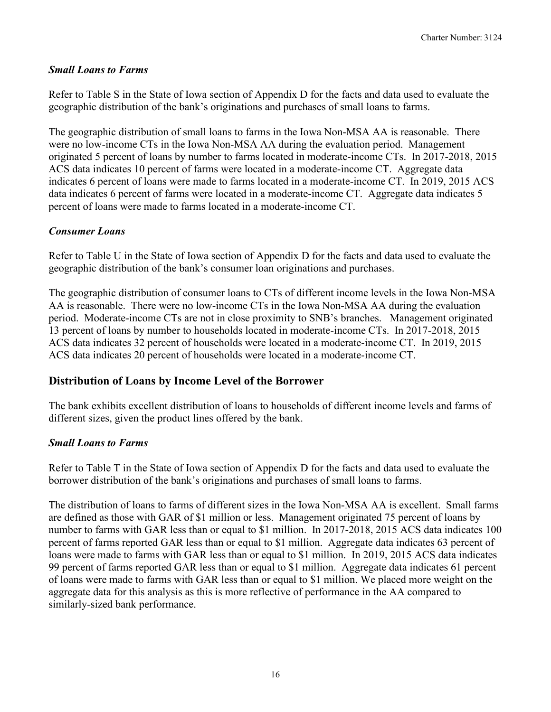#### *Small Loans to Farms*

Refer to Table S in the State of Iowa section of Appendix D for the facts and data used to evaluate the geographic distribution of the bank's originations and purchases of small loans to farms.

The geographic distribution of small loans to farms in the Iowa Non-MSA AA is reasonable. There were no low-income CTs in the Iowa Non-MSA AA during the evaluation period. Management originated 5 percent of loans by number to farms located in moderate-income CTs. In 2017-2018, 2015 ACS data indicates 10 percent of farms were located in a moderate-income CT. Aggregate data indicates 6 percent of loans were made to farms located in a moderate-income CT. In 2019, 2015 ACS data indicates 6 percent of farms were located in a moderate-income CT. Aggregate data indicates 5 percent of loans were made to farms located in a moderate-income CT.

#### *Consumer Loans*

Refer to Table U in the State of Iowa section of Appendix D for the facts and data used to evaluate the geographic distribution of the bank's consumer loan originations and purchases.

The geographic distribution of consumer loans to CTs of different income levels in the Iowa Non-MSA AA is reasonable. There were no low-income CTs in the Iowa Non-MSA AA during the evaluation period. Moderate-income CTs are not in close proximity to SNB's branches. Management originated 13 percent of loans by number to households located in moderate-income CTs. In 2017-2018, 2015 ACS data indicates 32 percent of households were located in a moderate-income CT. In 2019, 2015 ACS data indicates 20 percent of households were located in a moderate-income CT.

#### **Distribution of Loans by Income Level of the Borrower**

The bank exhibits excellent distribution of loans to households of different income levels and farms of different sizes, given the product lines offered by the bank.

#### *Small Loans to Farms*

Refer to Table T in the State of Iowa section of Appendix D for the facts and data used to evaluate the borrower distribution of the bank's originations and purchases of small loans to farms.

The distribution of loans to farms of different sizes in the Iowa Non-MSA AA is excellent. Small farms are defined as those with GAR of \$1 million or less. Management originated 75 percent of loans by number to farms with GAR less than or equal to \$1 million. In 2017-2018, 2015 ACS data indicates 100 percent of farms reported GAR less than or equal to \$1 million. Aggregate data indicates 63 percent of loans were made to farms with GAR less than or equal to \$1 million. In 2019, 2015 ACS data indicates 99 percent of farms reported GAR less than or equal to \$1 million. Aggregate data indicates 61 percent of loans were made to farms with GAR less than or equal to \$1 million. We placed more weight on the aggregate data for this analysis as this is more reflective of performance in the AA compared to similarly-sized bank performance.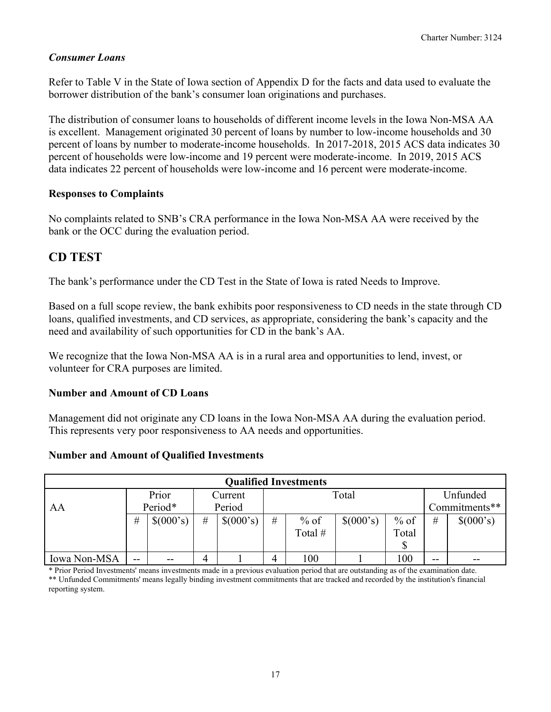#### *Consumer Loans*

Refer to Table V in the State of Iowa section of Appendix D for the facts and data used to evaluate the borrower distribution of the bank's consumer loan originations and purchases.

The distribution of consumer loans to households of different income levels in the Iowa Non-MSA AA is excellent. Management originated 30 percent of loans by number to low-income households and 30 percent of loans by number to moderate-income households. In 2017-2018, 2015 ACS data indicates 30 percent of households were low-income and 19 percent were moderate-income. In 2019, 2015 ACS data indicates 22 percent of households were low-income and 16 percent were moderate-income.

#### **Responses to Complaints**

No complaints related to SNB's CRA performance in the Iowa Non-MSA AA were received by the bank or the OCC during the evaluation period.

### **CD TEST**

The bank's performance under the CD Test in the State of Iowa is rated Needs to Improve.

Based on a full scope review, the bank exhibits poor responsiveness to CD needs in the state through CD loans, qualified investments, and CD services, as appropriate, considering the bank's capacity and the need and availability of such opportunities for CD in the bank's AA.

We recognize that the Iowa Non-MSA AA is in a rural area and opportunities to lend, invest, or volunteer for CRA purposes are limited.

#### **Number and Amount of CD Loans**

Management did not originate any CD loans in the Iowa Non-MSA AA during the evaluation period. This represents very poor responsiveness to AA needs and opportunities.

#### **Number and Amount of Qualified Investments**

|              | <b>Qualified Investments</b> |           |   |           |   |         |           |        |       |               |  |  |  |
|--------------|------------------------------|-----------|---|-----------|---|---------|-----------|--------|-------|---------------|--|--|--|
|              |                              | Prior     |   | Current   |   |         | Total     |        |       | Unfunded      |  |  |  |
| AA           |                              | Period*   |   | Period    |   |         |           |        |       | Commitments** |  |  |  |
|              | #                            | \$(000's) | # | \$(000's) | # | $%$ of  | \$(000's) | $%$ of | #     | \$(000's)     |  |  |  |
|              |                              |           |   |           |   | Total # |           | Total  |       |               |  |  |  |
|              |                              |           |   |           |   |         |           |        |       |               |  |  |  |
| Iowa Non-MSA | $- -$                        | $- -$     | 4 |           | 4 | 100     |           | 100    | $- -$ | --            |  |  |  |

<span id="page-18-0"></span>\* Prior Period Investments' means investments made in a previous evaluation period that are outstanding as of the examination date. \*\* Unfunded Commitments' means legally binding investment commitments that are tracked and recorded by the institution's financial reporting system.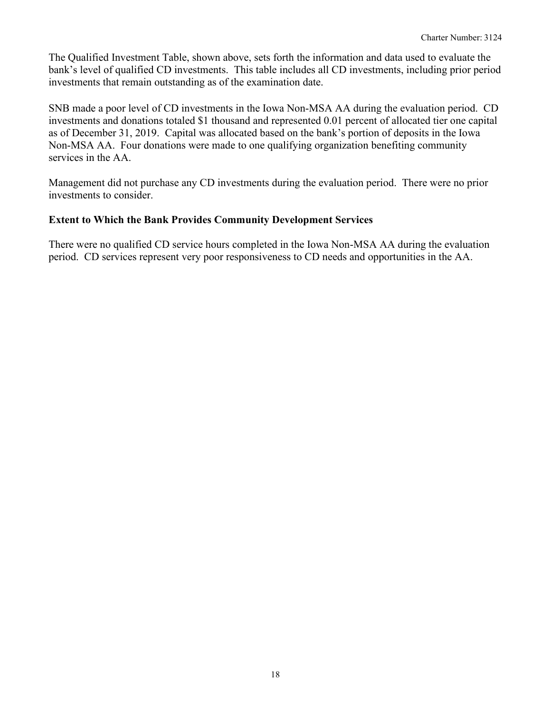The Qualified Investment Table, shown above, sets forth the information and data used to evaluate the bank's level of qualified CD investments. This table includes all CD investments, including prior period investments that remain outstanding as of the examination date.

SNB made a poor level of CD investments in the Iowa Non-MSA AA during the evaluation period. CD investments and donations totaled \$1 thousand and represented 0.01 percent of allocated tier one capital as of December 31, 2019. Capital was allocated based on the bank's portion of deposits in the Iowa Non-MSA AA. Four donations were made to one qualifying organization benefiting community services in the AA.

Management did not purchase any CD investments during the evaluation period. There were no prior investments to consider.

#### **Extent to Which the Bank Provides Community Development Services**

There were no qualified CD service hours completed in the Iowa Non-MSA AA during the evaluation period. CD services represent very poor responsiveness to CD needs and opportunities in the AA.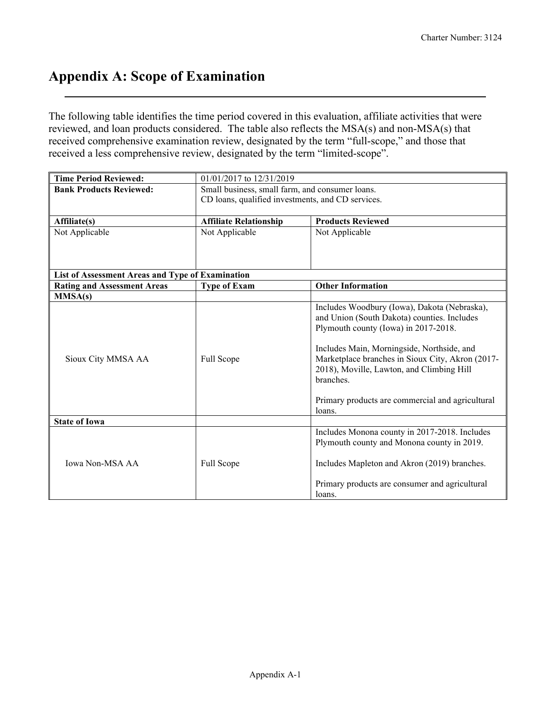## **Appendix A: Scope of Examination**

The following table identifies the time period covered in this evaluation, affiliate activities that were reviewed, and loan products considered. The table also reflects the MSA(s) and non-MSA(s) that received comprehensive examination review, designated by the term "full-scope," and those that received a less comprehensive review, designated by the term "limited-scope".

| <b>Time Period Reviewed:</b>                     | 01/01/2017 to 12/31/2019                          |                                                  |
|--------------------------------------------------|---------------------------------------------------|--------------------------------------------------|
| <b>Bank Products Reviewed:</b>                   | Small business, small farm, and consumer loans.   |                                                  |
|                                                  | CD loans, qualified investments, and CD services. |                                                  |
|                                                  |                                                   |                                                  |
| Affiliate(s)                                     | <b>Affiliate Relationship</b>                     | <b>Products Reviewed</b>                         |
| Not Applicable                                   | Not Applicable                                    | Not Applicable                                   |
|                                                  |                                                   |                                                  |
|                                                  |                                                   |                                                  |
|                                                  |                                                   |                                                  |
| List of Assessment Areas and Type of Examination |                                                   |                                                  |
| <b>Rating and Assessment Areas</b>               | <b>Type of Exam</b>                               | <b>Other Information</b>                         |
| MMSA(s)                                          |                                                   |                                                  |
|                                                  |                                                   | Includes Woodbury (Iowa), Dakota (Nebraska),     |
|                                                  |                                                   | and Union (South Dakota) counties. Includes      |
|                                                  |                                                   | Plymouth county (Iowa) in 2017-2018.             |
|                                                  |                                                   | Includes Main, Morningside, Northside, and       |
| Sioux City MMSA AA                               | Full Scope                                        | Marketplace branches in Sioux City, Akron (2017- |
|                                                  |                                                   | 2018), Moville, Lawton, and Climbing Hill        |
|                                                  |                                                   | branches.                                        |
|                                                  |                                                   |                                                  |
|                                                  |                                                   | Primary products are commercial and agricultural |
|                                                  |                                                   | loans.                                           |
| <b>State of Iowa</b>                             |                                                   |                                                  |
|                                                  |                                                   | Includes Monona county in 2017-2018. Includes    |
|                                                  |                                                   | Plymouth county and Monona county in 2019.       |
|                                                  |                                                   |                                                  |
| <b>Iowa Non-MSA AA</b>                           | Full Scope                                        | Includes Mapleton and Akron (2019) branches.     |
|                                                  |                                                   |                                                  |
|                                                  |                                                   | Primary products are consumer and agricultural   |
|                                                  |                                                   | loans.                                           |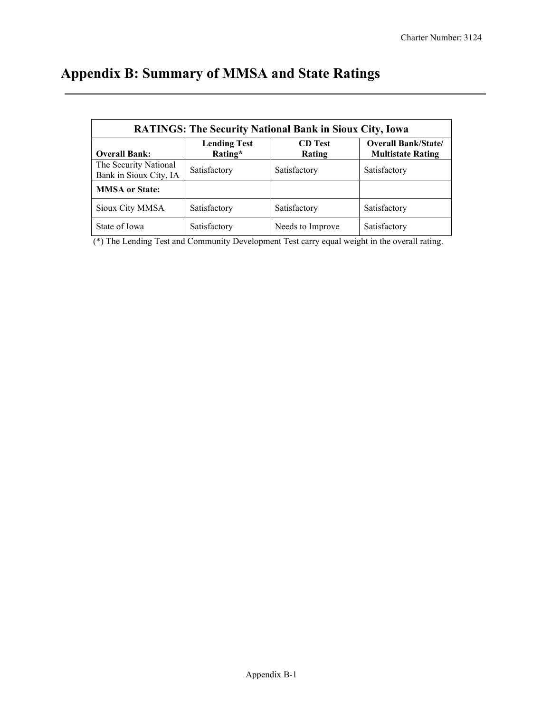# **Appendix B: Summary of MMSA and State Ratings**

|                                                 |                                | <b>RATINGS: The Security National Bank in Sioux City, Iowa</b> |                                                        |
|-------------------------------------------------|--------------------------------|----------------------------------------------------------------|--------------------------------------------------------|
| <b>Overall Bank:</b>                            | <b>Lending Test</b><br>Rating* | <b>CD</b> Test<br>Rating                                       | <b>Overall Bank/State/</b><br><b>Multistate Rating</b> |
| The Security National<br>Bank in Sioux City, IA | Satisfactory                   | Satisfactory                                                   | Satisfactory                                           |
| <b>MMSA</b> or State:                           |                                |                                                                |                                                        |
| Sioux City MMSA                                 | Satisfactory                   | Satisfactory                                                   | Satisfactory                                           |
| State of Iowa                                   | Satisfactory                   | Needs to Improve                                               | Satisfactory                                           |

(\*) The Lending Test and Community Development Test carry equal weight in the overall rating.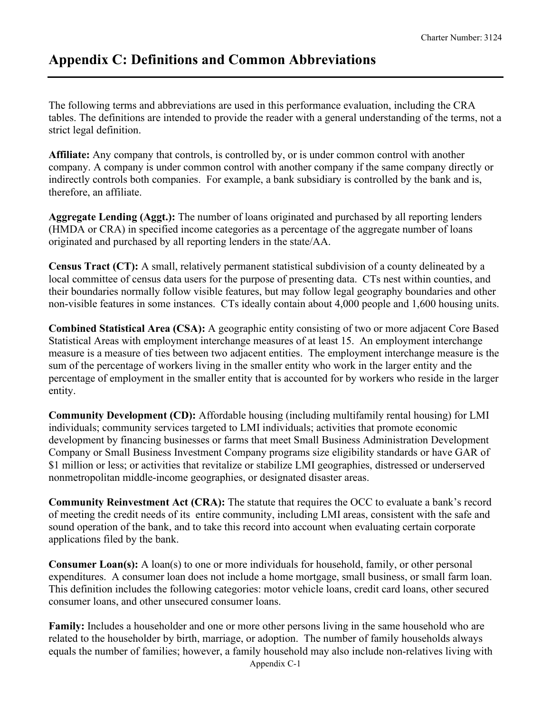## **Appendix C: Definitions and Common Abbreviations**

The following terms and abbreviations are used in this performance evaluation, including the CRA tables. The definitions are intended to provide the reader with a general understanding of the terms, not a strict legal definition.

**Affiliate:** Any company that controls, is controlled by, or is under common control with another company. A company is under common control with another company if the same company directly or indirectly controls both companies. For example, a bank subsidiary is controlled by the bank and is, therefore, an affiliate.

**Aggregate Lending (Aggt.):** The number of loans originated and purchased by all reporting lenders (HMDA or CRA) in specified income categories as a percentage of the aggregate number of loans originated and purchased by all reporting lenders in the state/AA.

**Census Tract (CT):** A small, relatively permanent statistical subdivision of a county delineated by a local committee of census data users for the purpose of presenting data. CTs nest within counties, and their boundaries normally follow visible features, but may follow legal geography boundaries and other non-visible features in some instances. CTs ideally contain about 4,000 people and 1,600 housing units.

**Combined Statistical Area (CSA):** A geographic entity consisting of two or more adjacent Core Based Statistical Areas with employment interchange measures of at least 15. An employment interchange measure is a measure of ties between two adjacent entities. The employment interchange measure is the sum of the percentage of workers living in the smaller entity who work in the larger entity and the percentage of employment in the smaller entity that is accounted for by workers who reside in the larger entity.

**Community Development (CD):** Affordable housing (including multifamily rental housing) for LMI individuals; community services targeted to LMI individuals; activities that promote economic development by financing businesses or farms that meet Small Business Administration Development Company or Small Business Investment Company programs size eligibility standards or have GAR of \$1 million or less; or activities that revitalize or stabilize LMI geographies, distressed or underserved nonmetropolitan middle-income geographies, or designated disaster areas.

**Community Reinvestment Act (CRA):** The statute that requires the OCC to evaluate a bank's record of meeting the credit needs of its entire community, including LMI areas, consistent with the safe and sound operation of the bank, and to take this record into account when evaluating certain corporate applications filed by the bank.

**Consumer Loan(s):** A loan(s) to one or more individuals for household, family, or other personal expenditures. A consumer loan does not include a home mortgage, small business, or small farm loan. This definition includes the following categories: motor vehicle loans, credit card loans, other secured consumer loans, and other unsecured consumer loans.

**Family:** Includes a householder and one or more other persons living in the same household who are related to the householder by birth, marriage, or adoption. The number of family households always equals the number of families; however, a family household may also include non-relatives living with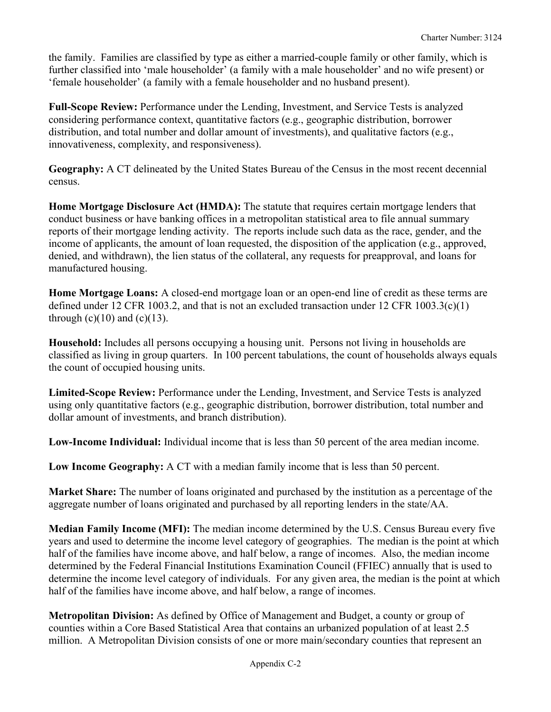the family. Families are classified by type as either a married-couple family or other family, which is further classified into 'male householder' (a family with a male householder' and no wife present) or 'female householder' (a family with a female householder and no husband present).

**Full-Scope Review:** Performance under the Lending, Investment, and Service Tests is analyzed considering performance context, quantitative factors (e.g., geographic distribution, borrower distribution, and total number and dollar amount of investments), and qualitative factors (e.g., innovativeness, complexity, and responsiveness).

**Geography:** A CT delineated by the United States Bureau of the Census in the most recent decennial census.

**Home Mortgage Disclosure Act (HMDA):** The statute that requires certain mortgage lenders that conduct business or have banking offices in a metropolitan statistical area to file annual summary reports of their mortgage lending activity. The reports include such data as the race, gender, and the income of applicants, the amount of loan requested, the disposition of the application (e.g., approved, denied, and withdrawn), the lien status of the collateral, any requests for preapproval, and loans for manufactured housing.

**Home Mortgage Loans:** A closed-end mortgage loan or an open-end line of credit as these terms are defined under 12 CFR 1003.2, and that is not an excluded transaction under 12 CFR 1003.3(c)(1) through  $(c)(10)$  and  $(c)(13)$ .

**Household:** Includes all persons occupying a housing unit. Persons not living in households are classified as living in group quarters. In 100 percent tabulations, the count of households always equals the count of occupied housing units.

**Limited-Scope Review:** Performance under the Lending, Investment, and Service Tests is analyzed using only quantitative factors (e.g., geographic distribution, borrower distribution, total number and dollar amount of investments, and branch distribution).

**Low-Income Individual:** Individual income that is less than 50 percent of the area median income.

**Low Income Geography:** A CT with a median family income that is less than 50 percent.

**Market Share:** The number of loans originated and purchased by the institution as a percentage of the aggregate number of loans originated and purchased by all reporting lenders in the state/AA.

**Median Family Income (MFI):** The median income determined by the U.S. Census Bureau every five years and used to determine the income level category of geographies. The median is the point at which half of the families have income above, and half below, a range of incomes. Also, the median income determined by the Federal Financial Institutions Examination Council (FFIEC) annually that is used to determine the income level category of individuals. For any given area, the median is the point at which half of the families have income above, and half below, a range of incomes.

**Metropolitan Division:** As defined by Office of Management and Budget, a county or group of counties within a Core Based Statistical Area that contains an urbanized population of at least 2.5 million. A Metropolitan Division consists of one or more main/secondary counties that represent an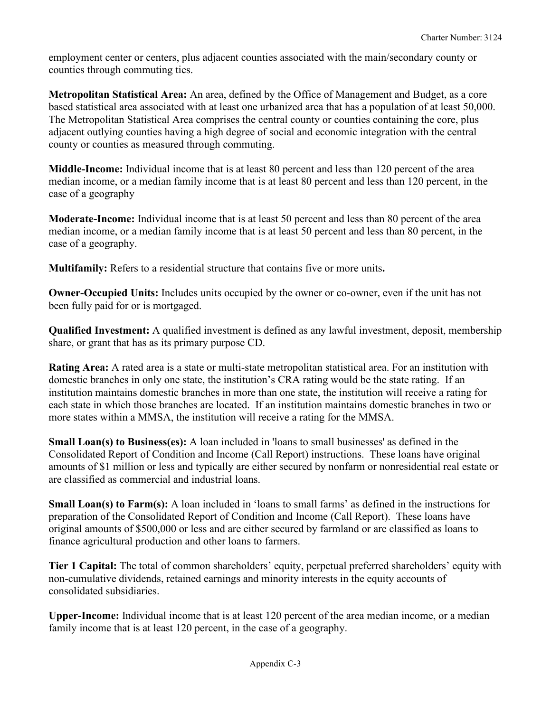employment center or centers, plus adjacent counties associated with the main/secondary county or counties through commuting ties.

**Metropolitan Statistical Area:** An area, defined by the Office of Management and Budget, as a core based statistical area associated with at least one urbanized area that has a population of at least 50,000. The Metropolitan Statistical Area comprises the central county or counties containing the core, plus adjacent outlying counties having a high degree of social and economic integration with the central county or counties as measured through commuting.

**Middle-Income:** Individual income that is at least 80 percent and less than 120 percent of the area median income, or a median family income that is at least 80 percent and less than 120 percent, in the case of a geography

**Moderate-Income:** Individual income that is at least 50 percent and less than 80 percent of the area median income, or a median family income that is at least 50 percent and less than 80 percent, in the case of a geography.

**Multifamily:** Refers to a residential structure that contains five or more units**.**

**Owner-Occupied Units:** Includes units occupied by the owner or co-owner, even if the unit has not been fully paid for or is mortgaged.

**Qualified Investment:** A qualified investment is defined as any lawful investment, deposit, membership share, or grant that has as its primary purpose CD.

**Rating Area:** A rated area is a state or multi-state metropolitan statistical area. For an institution with domestic branches in only one state, the institution's CRA rating would be the state rating. If an institution maintains domestic branches in more than one state, the institution will receive a rating for each state in which those branches are located. If an institution maintains domestic branches in two or more states within a MMSA, the institution will receive a rating for the MMSA.

**Small Loan(s) to Business(es):** A loan included in 'loans to small businesses' as defined in the Consolidated Report of Condition and Income (Call Report) instructions. These loans have original amounts of \$1 million or less and typically are either secured by nonfarm or nonresidential real estate or are classified as commercial and industrial loans.

**Small Loan(s) to Farm(s):** A loan included in 'loans to small farms' as defined in the instructions for preparation of the Consolidated Report of Condition and Income (Call Report). These loans have original amounts of \$500,000 or less and are either secured by farmland or are classified as loans to finance agricultural production and other loans to farmers.

**Tier 1 Capital:** The total of common shareholders' equity, perpetual preferred shareholders' equity with non-cumulative dividends, retained earnings and minority interests in the equity accounts of consolidated subsidiaries.

**Upper-Income:** Individual income that is at least 120 percent of the area median income, or a median family income that is at least 120 percent, in the case of a geography.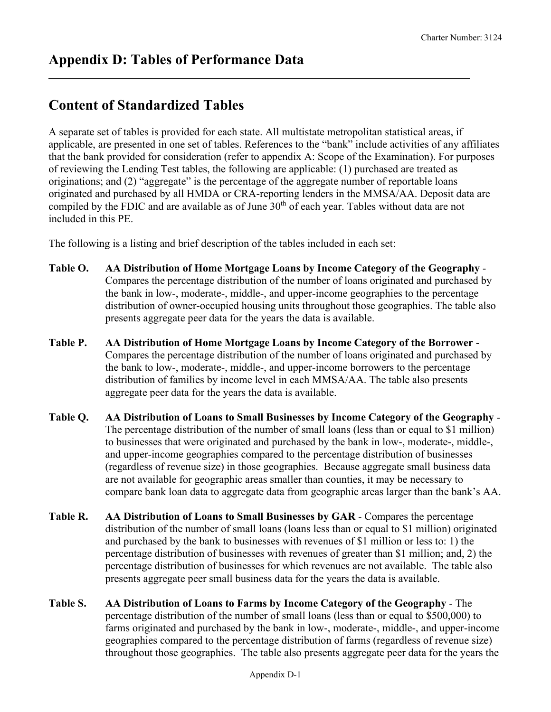## **Content of Standardized Tables**

A separate set of tables is provided for each state. All multistate metropolitan statistical areas, if applicable, are presented in one set of tables. References to the "bank" include activities of any affiliates that the bank provided for consideration (refer to appendix A: Scope of the Examination). For purposes of reviewing the Lending Test tables, the following are applicable: (1) purchased are treated as originations; and (2) "aggregate" is the percentage of the aggregate number of reportable loans originated and purchased by all HMDA or CRA-reporting lenders in the MMSA/AA. Deposit data are compiled by the FDIC and are available as of June 30<sup>th</sup> of each year. Tables without data are not included in this PE.

The following is a listing and brief description of the tables included in each set:

- **Table O. AA Distribution of Home Mortgage Loans by Income Category of the Geography** Compares the percentage distribution of the number of loans originated and purchased by the bank in low-, moderate-, middle-, and upper-income geographies to the percentage distribution of owner-occupied housing units throughout those geographies. The table also presents aggregate peer data for the years the data is available.
- **Table P. AA Distribution of Home Mortgage Loans by Income Category of the Borrower** Compares the percentage distribution of the number of loans originated and purchased by the bank to low-, moderate-, middle-, and upper-income borrowers to the percentage distribution of families by income level in each MMSA/AA. The table also presents aggregate peer data for the years the data is available.
- **Table Q. AA Distribution of Loans to Small Businesses by Income Category of the Geography** The percentage distribution of the number of small loans (less than or equal to \$1 million) to businesses that were originated and purchased by the bank in low-, moderate-, middle-, and upper-income geographies compared to the percentage distribution of businesses (regardless of revenue size) in those geographies. Because aggregate small business data are not available for geographic areas smaller than counties, it may be necessary to compare bank loan data to aggregate data from geographic areas larger than the bank's AA.
- **Table R. AA Distribution of Loans to Small Businesses by GAR** Compares the percentage distribution of the number of small loans (loans less than or equal to \$1 million) originated and purchased by the bank to businesses with revenues of \$1 million or less to: 1) the percentage distribution of businesses with revenues of greater than \$1 million; and, 2) the percentage distribution of businesses for which revenues are not available. The table also presents aggregate peer small business data for the years the data is available.
- **Table S. AA Distribution of Loans to Farms by Income Category of the Geography**  The percentage distribution of the number of small loans (less than or equal to \$500,000) to farms originated and purchased by the bank in low-, moderate-, middle-, and upper-income geographies compared to the percentage distribution of farms (regardless of revenue size) throughout those geographies. The table also presents aggregate peer data for the years the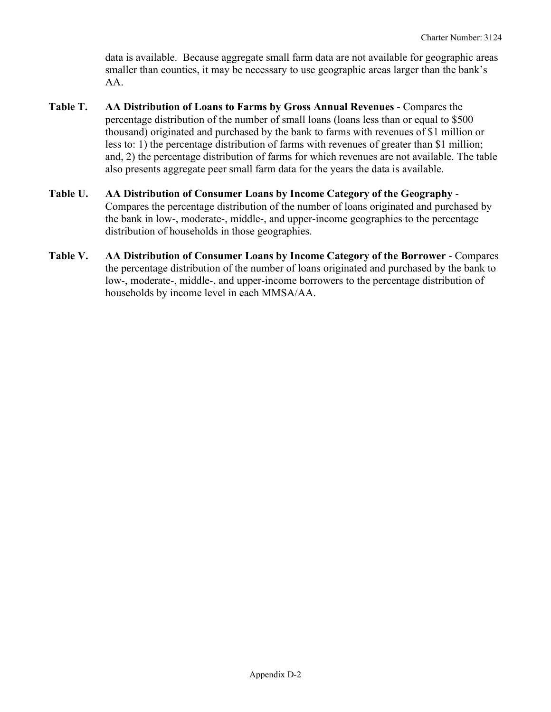data is available. Because aggregate small farm data are not available for geographic areas smaller than counties, it may be necessary to use geographic areas larger than the bank's AA.

- **Table T. AA Distribution of Loans to Farms by Gross Annual Revenues** Compares the percentage distribution of the number of small loans (loans less than or equal to \$500 thousand) originated and purchased by the bank to farms with revenues of \$1 million or less to: 1) the percentage distribution of farms with revenues of greater than \$1 million; and, 2) the percentage distribution of farms for which revenues are not available. The table also presents aggregate peer small farm data for the years the data is available.
- **Table U. AA Distribution of Consumer Loans by Income Category of the Geography** Compares the percentage distribution of the number of loans originated and purchased by the bank in low-, moderate-, middle-, and upper-income geographies to the percentage distribution of households in those geographies.
- **Table V. AA Distribution of Consumer Loans by Income Category of the Borrower** Compares the percentage distribution of the number of loans originated and purchased by the bank to low-, moderate-, middle-, and upper-income borrowers to the percentage distribution of households by income level in each MMSA/AA.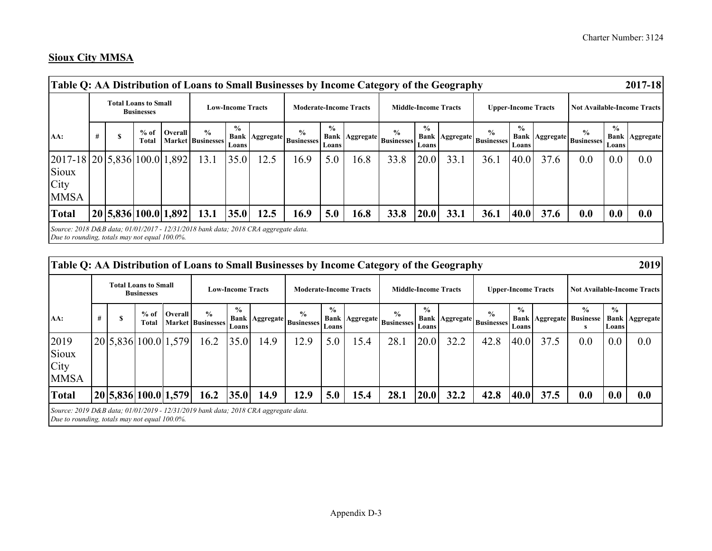#### **Sioux City MMSA**

| Table Q: AA Distribution of Loans to Small Businesses by Income Category of the Geography                                           |   |                                                  |                      |                                           |                          |      |                                                      |                                              |      |                                                         |                        |                             |                                                   |                            |      |                                                   |                        | 2017-18                            |
|-------------------------------------------------------------------------------------------------------------------------------------|---|--------------------------------------------------|----------------------|-------------------------------------------|--------------------------|------|------------------------------------------------------|----------------------------------------------|------|---------------------------------------------------------|------------------------|-----------------------------|---------------------------------------------------|----------------------------|------|---------------------------------------------------|------------------------|------------------------------------|
|                                                                                                                                     |   | <b>Total Loans to Small</b><br><b>Businesses</b> |                      |                                           | <b>Low-Income Tracts</b> |      | <b>Moderate-Income Tracts</b>                        |                                              |      |                                                         |                        | <b>Middle-Income Tracts</b> |                                                   | <b>Upper-Income Tracts</b> |      |                                                   |                        | <b>Not Available-Income Tracts</b> |
| AA:                                                                                                                                 | # | $%$ of<br>Total                                  | Overall              | $\frac{0}{0}$<br><b>Market Businesses</b> | $\frac{0}{0}$<br>Loans   |      | $\frac{0}{0}$<br>  Bank   Aggregate   Businesses   ' | $\frac{6}{9}$<br><b>Bank</b><br><b>Loans</b> |      | $\frac{6}{9}$<br>$\mathcal{L}$   Aggregate   Businesses | $\frac{0}{0}$<br>Loans |                             | $\frac{6}{9}$<br><b>Bank Aggregate Businesses</b> | $\frac{6}{9}$<br>Loans     |      | $\frac{0}{0}$<br><b>Bank Aggregate Businesses</b> | $\frac{6}{9}$<br>Loans | <b>Bank   Aggregate</b>            |
| $[2017-18]20[5,836]100.0[1,892]$<br>Sioux<br>City<br><b>MMSA</b>                                                                    |   |                                                  |                      | 13.1                                      | 35.0                     | 12.5 | 16.9                                                 | 5.0                                          | 16.8 | 33.8                                                    | 20.0                   | 33.1                        | 36.1                                              | 40.0                       | 37.6 | 0.0                                               | 0.0                    | 0.0                                |
| <b>Total</b>                                                                                                                        |   |                                                  | 20 5,836 100.0 1,892 | 13.1                                      | 35.0                     | 12.5 | 16.9                                                 | 5.0                                          | 16.8 | 33.8                                                    | 20.0                   | 33.1                        | 36.1                                              | 40.0                       | 37.6 | 0.0                                               | 0.0                    | 0.0                                |
| Source: 2018 D&B data; 01/01/2017 - 12/31/2018 bank data; 2018 CRA aggregate data.<br>Due to rounding, totals may not equal 100.0%. |   |                                                  |                      |                                           |                          |      |                                                      |                                              |      |                                                         |                        |                             |                                                   |                            |      |                                                   |                        |                                    |

| Table Q: AA Distribution of Loans to Small Businesses by Income Category of the Geography                                           |   |                                                  |                      |                                           |                          |      |                                                  |                         |                               |                                                   |                        |                             |                                            |                            |                                 |                    |                        | 2019                               |
|-------------------------------------------------------------------------------------------------------------------------------------|---|--------------------------------------------------|----------------------|-------------------------------------------|--------------------------|------|--------------------------------------------------|-------------------------|-------------------------------|---------------------------------------------------|------------------------|-----------------------------|--------------------------------------------|----------------------------|---------------------------------|--------------------|------------------------|------------------------------------|
|                                                                                                                                     |   | <b>Total Loans to Small</b><br><b>Businesses</b> |                      |                                           | <b>Low-Income Tracts</b> |      |                                                  |                         | <b>Moderate-Income Tracts</b> |                                                   |                        | <b>Middle-Income Tracts</b> |                                            | <b>Upper-Income Tracts</b> |                                 |                    |                        | <b>Not Available-Income Tracts</b> |
| AA:                                                                                                                                 | # | $%$ of<br>Total                                  | <b>Overall</b>       | $\frac{6}{6}$<br><b>Market Businesses</b> | $\frac{0}{0}$<br>Loans   |      | $\frac{0}{0}$<br>  Bank   Aggregate   Businesses | $\frac{9}{6}$<br>Loansl |                               | $\frac{0}{0}$<br><b>Bank Aggregate Businesses</b> | $\frac{0}{0}$<br>Loans |                             | $\frac{6}{9}$<br>Bank Aggregate Businesses | $\frac{6}{10}$<br>Loans    | <b>Bank Aggregate Businesse</b> | $\frac{0}{0}$<br>s | $\frac{0}{0}$<br>Loans | <b>Bank Aggregate</b>              |
| 2019<br>Sioux<br>City<br><b>MMSA</b>                                                                                                |   |                                                  | 20 5,836 100.0 1,579 | 16.2                                      | 35.0                     | 14.9 | 12.9                                             | 5.0                     | 15.4                          | 28.1                                              | 20.0                   | 32.2                        | 42.8                                       | 40.0                       | 37.5                            | $0.0^{\circ}$      | 0.0                    | 0.0                                |
| <b>Total</b>                                                                                                                        |   |                                                  | 20 5,836 100.0 1,579 | 16.2                                      | 35.0                     | 14.9 | 12.9                                             | 5.0                     | 15.4                          | 28.1                                              | 20.0                   | 32.2                        | 42.8                                       | 40.0                       | 37.5                            | 0.0                | 0.0                    | 0.0                                |
| Source: 2019 D&B data; 01/01/2019 - 12/31/2019 bank data; 2018 CRA aggregate data.<br>Due to rounding, totals may not equal 100.0%. |   |                                                  |                      |                                           |                          |      |                                                  |                         |                               |                                                   |                        |                             |                                            |                            |                                 |                    |                        |                                    |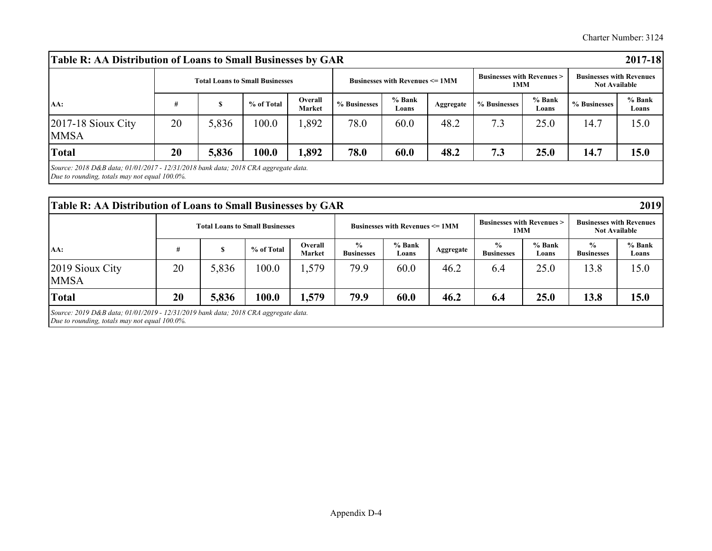Charter Number: 3124

| Table R: AA Distribution of Loans to Small Businesses by GAR                         |    |       |                                        |                          |              |                                           |           |                                             |                 |                                                         | 2017-18         |
|--------------------------------------------------------------------------------------|----|-------|----------------------------------------|--------------------------|--------------|-------------------------------------------|-----------|---------------------------------------------|-----------------|---------------------------------------------------------|-----------------|
|                                                                                      |    |       | <b>Total Loans to Small Businesses</b> |                          |              | <b>Businesses with Revenues &lt;= 1MM</b> |           | <b>Businesses with Revenues &gt;</b><br>1MM |                 | <b>Businesses with Revenues</b><br><b>Not Available</b> |                 |
| AA:                                                                                  | #  |       | % of Total                             | Overall<br><b>Market</b> | % Businesses | % Bank<br>Loans                           | Aggregate | % Businesses                                | % Bank<br>Loans | % Businesses                                            | % Bank<br>Loans |
| $2017-18$ Sioux City<br><b>MMSA</b>                                                  | 20 | 5,836 | 100.0                                  | .,892                    | 78.0         | 60.0                                      | 48.2      | 7.3                                         | 25.0            | 14.7                                                    | 15.0            |
| <b>Total</b>                                                                         | 20 | 5,836 | 100.0                                  | 1,892                    | 78.0         | 60.0                                      | 48.2      | 7.3                                         | 25.0            | 14.7                                                    | 15.0            |
| Source: 2018 D&B data; $01/01/2017 - 12/31/2018$ bank data; 2018 CRA aggregate data. |    |       |                                        |                          |              |                                           |           |                                             |                 |                                                         |                 |

*Due to rounding, totals may not equal 100.0%.*

| Table R: AA Distribution of Loans to Small Businesses by GAR                                                                          |    |       |                                        |                          |                                    |                                           |           |                                              |                 |                                                         | 2019            |
|---------------------------------------------------------------------------------------------------------------------------------------|----|-------|----------------------------------------|--------------------------|------------------------------------|-------------------------------------------|-----------|----------------------------------------------|-----------------|---------------------------------------------------------|-----------------|
|                                                                                                                                       |    |       | <b>Total Loans to Small Businesses</b> |                          |                                    | <b>Businesses with Revenues &lt;= 1MM</b> |           | <b>Businesses with Revenues &gt;</b><br>1 MM |                 | <b>Businesses with Revenues</b><br><b>Not Available</b> |                 |
| AA:                                                                                                                                   |    |       | % of Total                             | Overall<br><b>Market</b> | $\frac{0}{0}$<br><b>Businesses</b> | % Bank<br>Loans                           | Aggregate | $\frac{6}{9}$<br><b>Businesses</b>           | % Bank<br>Loans | $\frac{0}{0}$<br><b>Businesses</b>                      | % Bank<br>Loans |
| 2019 Sioux City<br><b>MMSA</b>                                                                                                        | 20 | 5,836 | 100.0                                  | 1,579                    | 79.9                               | 60.0                                      | 46.2      | 6.4                                          | 25.0            | 13.8                                                    | 15.0            |
| <b>Total</b>                                                                                                                          | 20 | 5,836 | 100.0                                  | 1,579                    | 79.9                               | 60.0                                      | 46.2      | 6.4                                          | 25.0            | 13.8                                                    | 15.0            |
| Source: 2019 D&B data; $01/01/2019 - 12/31/2019$ bank data; 2018 CRA aggregate data.<br>Due to rounding, totals may not equal 100.0%. |    |       |                                        |                          |                                    |                                           |           |                                              |                 |                                                         |                 |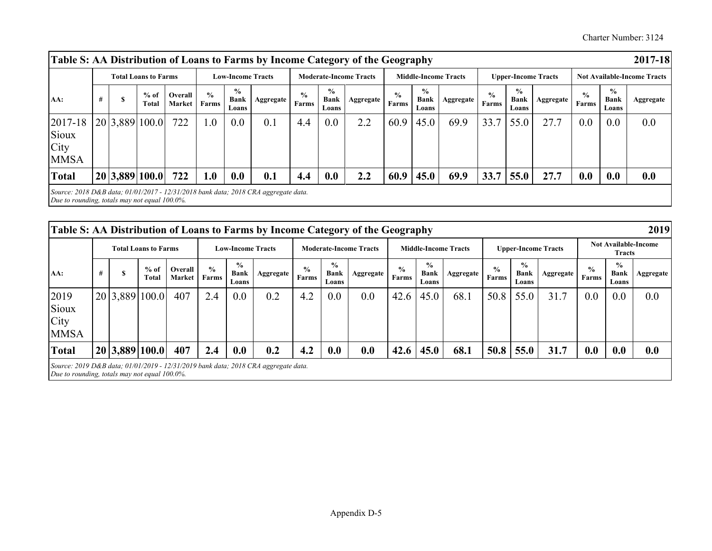Charter Number: 3124

| Table S: AA Distribution of Loans to Farms by Income Category of the Geography                                                            |   |                             |                   |                        |                                       |                  |                        |                                       |                               |                        |                                       |                             |                        |                                |                            |                        |                                       | $2017 - 18$                        |
|-------------------------------------------------------------------------------------------------------------------------------------------|---|-----------------------------|-------------------|------------------------|---------------------------------------|------------------|------------------------|---------------------------------------|-------------------------------|------------------------|---------------------------------------|-----------------------------|------------------------|--------------------------------|----------------------------|------------------------|---------------------------------------|------------------------------------|
|                                                                                                                                           |   | <b>Total Loans to Farms</b> |                   |                        | <b>Low-Income Tracts</b>              |                  |                        |                                       | <b>Moderate-Income Tracts</b> |                        |                                       | <b>Middle-Income Tracts</b> |                        |                                | <b>Upper-Income Tracts</b> |                        |                                       | <b>Not Available-Income Tracts</b> |
| AA:                                                                                                                                       | # | $%$ of<br>Total             | Overall<br>Market | $\frac{0}{0}$<br>Farms | $\frac{0}{0}$<br><b>Bank</b><br>Loans | <b>Aggregate</b> | $\frac{0}{0}$<br>Farms | $\frac{0}{0}$<br><b>Bank</b><br>Loans | Aggregate                     | $\frac{6}{9}$<br>Farms | $\frac{0}{0}$<br><b>Bank</b><br>Loans | Aggregate                   | $\frac{0}{0}$<br>Farms | $\frac{0}{0}$<br>Bank<br>Loans | Aggregate                  | $\frac{6}{9}$<br>Farms | $\frac{0}{0}$<br><b>Bank</b><br>Loans | Aggregate                          |
| 2017-18<br>Sioux<br>City<br><b>MMSA</b>                                                                                                   |   | 20 3,889 100.0              | 722               | 1.0                    | 0.0                                   | 0.1              | 4.4                    | 0.0                                   | 2.2                           | 60.9                   | 45.0                                  | 69.9                        | 33.7                   | 55.0                           | 27.7                       | 0.0                    | 0.0                                   | 0.0                                |
| <b>Total</b>                                                                                                                              |   | 20 3,889 100.0              | 722               | 1.0                    | 0.0                                   | 0.1              | 4.4                    | 0.0                                   | 2.2                           | 60.9                   | 45.0                                  | 69.9                        | 33.7                   | 55.0                           | 27.7                       | 0.0                    | 0.0                                   | 0.0                                |
| Source: $2018 D&B$ data; $01/01/2017 - 12/31/2018$ bank data; $2018 CRA$ aggregate data.<br>Due to rounding, totals may not equal 100.0%. |   |                             |                   |                        |                                       |                  |                        |                                       |                               |                        |                                       |                             |                        |                                |                            |                        |                                       |                                    |

| Table S: AA Distribution of Loans to Farms by Income Category of the Geography                                                      |   |                |                             |                   |                        |                                       |           |                        |                                       |                               |                        |                                       |                             |                        |                                |                            |                        |                                | 2019                        |
|-------------------------------------------------------------------------------------------------------------------------------------|---|----------------|-----------------------------|-------------------|------------------------|---------------------------------------|-----------|------------------------|---------------------------------------|-------------------------------|------------------------|---------------------------------------|-----------------------------|------------------------|--------------------------------|----------------------------|------------------------|--------------------------------|-----------------------------|
|                                                                                                                                     |   |                | <b>Total Loans to Farms</b> |                   |                        | <b>Low-Income Tracts</b>              |           |                        |                                       | <b>Moderate-Income Tracts</b> |                        |                                       | <b>Middle-Income Tracts</b> |                        |                                | <b>Upper-Income Tracts</b> |                        | <b>Tracts</b>                  | <b>Not Available-Income</b> |
| AA:                                                                                                                                 | # |                | $%$ of<br>Total             | Overall<br>Market | $\frac{0}{0}$<br>Farms | $\frac{0}{0}$<br><b>Bank</b><br>Loans | Aggregate | $\frac{6}{9}$<br>Farms | $\frac{0}{0}$<br><b>Bank</b><br>Loans | Aggregate                     | $\frac{0}{0}$<br>Farms | $\frac{0}{0}$<br><b>Bank</b><br>Loans | Aggregate                   | $\frac{0}{0}$<br>Farms | $\frac{0}{0}$<br>Bank<br>Loans | <b>Aggregate</b>           | $\frac{6}{9}$<br>Farms | $\frac{0}{0}$<br>Bank<br>Loans | <b>Aggregate</b>            |
| 2019<br>Sioux<br>City<br><b>MMSA</b>                                                                                                |   | 20 3,889 100.0 |                             | 407               | 2.4                    | 0.0                                   | 0.2       | 4.2                    | 0.0                                   | 0.0                           | 42.6                   | 45.0                                  | 68.1                        | 50.8                   | 55.0                           | 31.7                       | 0.0                    | 0.0                            | 0.0                         |
| <b>Total</b>                                                                                                                        |   | 20 3,889 100.0 |                             | 407               | 2.4                    | 0.0                                   | 0.2       | 4.2                    | 0.0                                   | 0.0                           | 42.6                   | 45.0                                  | 68.1                        | 50.8                   | 55.0                           | 31.7                       | 0.0                    | 0.0                            | 0.0                         |
| Source: 2019 D&B data; 01/01/2019 - 12/31/2019 bank data; 2018 CRA aggregate data.<br>Due to rounding, totals may not equal 100.0%. |   |                |                             |                   |                        |                                       |           |                        |                                       |                               |                        |                                       |                             |                        |                                |                            |                        |                                |                             |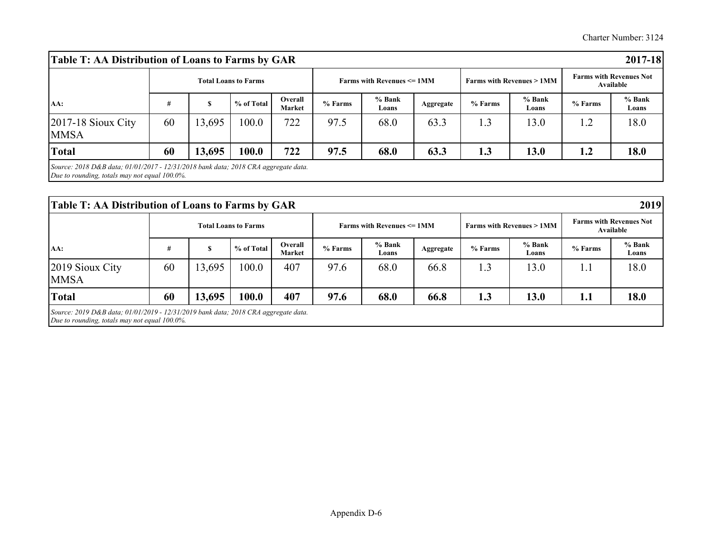| Table T: AA Distribution of Loans to Farms by GAR                                                                                   |    |        |                             |                          |         |                                                   |           |         |                                     |         | 2017-18                                     |
|-------------------------------------------------------------------------------------------------------------------------------------|----|--------|-----------------------------|--------------------------|---------|---------------------------------------------------|-----------|---------|-------------------------------------|---------|---------------------------------------------|
|                                                                                                                                     |    |        | <b>Total Loans to Farms</b> |                          |         | <b>Farms with Revenues <math>\leq 1</math> MM</b> |           |         | <b>Farms with Revenues &gt; 1MM</b> |         | <b>Farms with Revenues Not</b><br>Available |
| AA:                                                                                                                                 | #  | S      | % of Total                  | Overall<br><b>Market</b> | % Farms | % Bank<br>Loans                                   | Aggregate | % Farms | % Bank<br>Loans                     | % Farms | % Bank<br>Loans                             |
| $2017-18$ Sioux City<br><b>MMSA</b>                                                                                                 | 60 | 13,695 | 100.0                       | 722                      | 97.5    | 68.0                                              | 63.3      | 1.3     | 13.0                                | 1.2     | 18.0                                        |
| <b>Total</b>                                                                                                                        | 60 | 13,695 | 100.0                       | 722                      | 97.5    | 68.0                                              | 63.3      | 1.3     | 13.0                                | 1.2     | 18.0                                        |
| Source: 2018 D&B data; 01/01/2017 - 12/31/2018 bank data; 2018 CRA aggregate data.<br>Due to rounding, totals may not equal 100.0%. |    |        |                             |                          |         |                                                   |           |         |                                     |         |                                             |

| Table T: AA Distribution of Loans to Farms by GAR                                                                                         |    |        |                             |                   |         |                                                   |           |         |                                     |         | 2019                                        |
|-------------------------------------------------------------------------------------------------------------------------------------------|----|--------|-----------------------------|-------------------|---------|---------------------------------------------------|-----------|---------|-------------------------------------|---------|---------------------------------------------|
|                                                                                                                                           |    |        | <b>Total Loans to Farms</b> |                   |         | <b>Farms with Revenues <math>\leq 1</math> MM</b> |           |         | <b>Farms with Revenues &gt; 1MM</b> |         | <b>Farms with Revenues Not</b><br>Available |
| AA:                                                                                                                                       | #  | c      | % of Total                  | Overall<br>Market | % Farms | % Bank<br>Loans                                   | Aggregate | % Farms | % Bank<br>Loans                     | % Farms | % Bank<br>Loans                             |
| 2019 Sioux City<br><b>MMSA</b>                                                                                                            | 60 | 13,695 | 100.0                       | 407               | 97.6    | 68.0                                              | 66.8      | 1.3     | 13.0                                | 1.1     | 18.0                                        |
| <b>Total</b>                                                                                                                              | 60 | 13,695 | 100.0                       | 407               | 97.6    | 68.0                                              | 66.8      | 1.3     | 13.0                                | 1.1     | 18.0                                        |
| Source: $2019 D&B$ data; $01/01/2019 - 12/31/2019$ bank data; $2018 CRA$ aggregate data.<br>Due to rounding, totals may not equal 100.0%. |    |        |                             |                   |         |                                                   |           |         |                                     |         |                                             |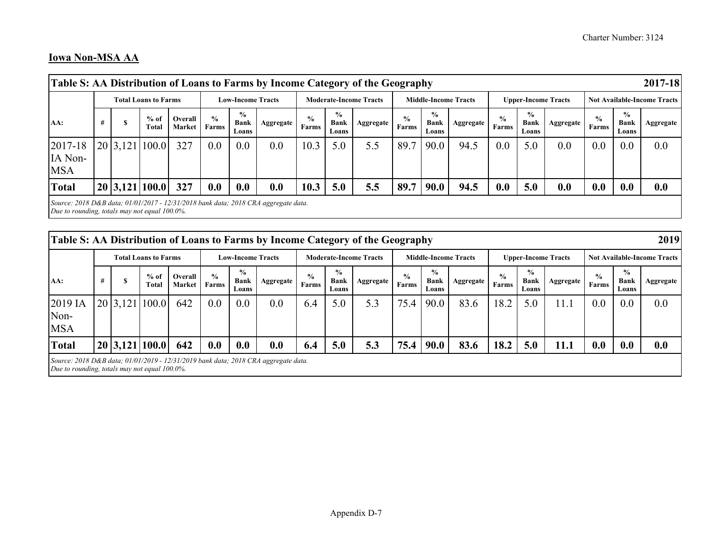#### **Iowa Non-MSA AA**

| Table S: AA Distribution of Loans to Farms by Income Category of the Geography                                                      |   |          |                             |                   |                        |                                |           |                               |                                       |                               |                        |                                       |                             |                        |                                       |                            |                               |                                       | 2017-18                            |
|-------------------------------------------------------------------------------------------------------------------------------------|---|----------|-----------------------------|-------------------|------------------------|--------------------------------|-----------|-------------------------------|---------------------------------------|-------------------------------|------------------------|---------------------------------------|-----------------------------|------------------------|---------------------------------------|----------------------------|-------------------------------|---------------------------------------|------------------------------------|
|                                                                                                                                     |   |          | <b>Total Loans to Farms</b> |                   |                        | <b>Low-Income Tracts</b>       |           |                               |                                       | <b>Moderate-Income Tracts</b> |                        |                                       | <b>Middle-Income Tracts</b> |                        |                                       | <b>Upper-Income Tracts</b> |                               |                                       | <b>Not Available-Income Tracts</b> |
| AA:                                                                                                                                 | # | ch<br>э  | $%$ of<br>Total             | Overall<br>Market | $\frac{0}{0}$<br>Farms | $\frac{0}{0}$<br>Bank<br>Loans | Aggregate | $\frac{6}{9}$<br><b>Farms</b> | $\frac{0}{0}$<br><b>Bank</b><br>Loans | Aggregate                     | $\frac{6}{6}$<br>Farms | $\frac{0}{0}$<br><b>Bank</b><br>Loans | Aggregate                   | $\frac{0}{0}$<br>Farms | $\frac{0}{0}$<br><b>Bank</b><br>Loans | Aggregate                  | $\frac{6}{9}$<br><b>Farms</b> | $\frac{0}{0}$<br><b>Bank</b><br>Loans | Aggregate                          |
| 2017-18<br>IA Non-<br><b>MSA</b>                                                                                                    |   | 20 3,121 | 100.0                       | 327               | 0.0                    | 0.0                            | 0.0       | 10.3                          | 5.0                                   | 5.5                           | 89.7                   | 90.0                                  | 94.5                        | 0.0                    | 5.0                                   | 0.0                        | 0.0                           | 0.0                                   | 0.0                                |
| <b>Total</b>                                                                                                                        |   |          | 20 3,121 100.0              | 327               | 0.0                    | 0.0                            | 0.0       | 10.3                          | 5.0                                   | 5.5                           | 89.7                   | <b>90.0</b>                           | 94.5                        | 0.0                    | 5.0                                   | 0.0                        | 0.0                           | 0.0                                   | 0.0                                |
| Source: 2018 D&B data; 01/01/2017 - 12/31/2018 bank data; 2018 CRA aggregate data.<br>Due to rounding, totals may not equal 100.0%. |   |          |                             |                   |                        |                                |           |                               |                                       |                               |                        |                                       |                             |                        |                                       |                            |                               |                                       |                                    |
|                                                                                                                                     |   |          |                             |                   |                        |                                |           |                               |                                       |                               |                        |                                       |                             |                        |                                       |                            |                               |                                       |                                    |

| Table S: AA Distribution of Loans to Farms by Income Category of the Geography                                                      |   |   |                             |                   |               |                                       |           |                        |                                       |                               |                        |                                |                             |                        |                                       |                            |                               |                                       | 2019                               |
|-------------------------------------------------------------------------------------------------------------------------------------|---|---|-----------------------------|-------------------|---------------|---------------------------------------|-----------|------------------------|---------------------------------------|-------------------------------|------------------------|--------------------------------|-----------------------------|------------------------|---------------------------------------|----------------------------|-------------------------------|---------------------------------------|------------------------------------|
|                                                                                                                                     |   |   | <b>Total Loans to Farms</b> |                   |               | <b>Low-Income Tracts</b>              |           |                        |                                       | <b>Moderate-Income Tracts</b> |                        |                                | <b>Middle-Income Tracts</b> |                        |                                       | <b>Upper-Income Tracts</b> |                               |                                       | <b>Not Available-Income Tracts</b> |
| AA:                                                                                                                                 | # | æ | $%$ of<br>Total             | Overall<br>Market | $\%$<br>Farms | $\frac{0}{0}$<br><b>Bank</b><br>Loans | Aggregate | $\frac{6}{9}$<br>Farms | $\frac{0}{0}$<br><b>Bank</b><br>Loans | Aggregate                     | $\frac{0}{0}$<br>Farms | $\frac{0}{0}$<br>Bank<br>Loans | Aggregate                   | $\frac{6}{9}$<br>Farms | $\frac{6}{9}$<br><b>Bank</b><br>Loans | Aggregate                  | $\frac{6}{9}$<br><b>Farms</b> | $\frac{0}{0}$<br><b>Bank</b><br>Loans | Aggregate                          |
| 2019 IA<br>Non-<br><b>MSA</b>                                                                                                       |   |   | 20 3,121 100.0              | 642               | 0.0           | 0.0                                   | 0.0       | 6.4                    | 5.0                                   | 5.3                           | 75.4                   | 90.0                           | 83.6                        | 18.2                   | 5.0                                   | 11.1                       | 0.0                           | 0.0                                   | 0.0                                |
| <b>Total</b>                                                                                                                        |   |   | 20 3,121 100.0              | 642               | 0.0           | 0.0                                   | 0.0       | 6.4                    | 5.0                                   | 5.3                           | 75.4                   | <b>90.0</b>                    | 83.6                        | 18.2                   | 5.0                                   | <b>11.1</b>                | 0.0                           | 0.0                                   | 0.0                                |
| Source: 2018 D&B data; 01/01/2019 - 12/31/2019 bank data; 2018 CRA aggregate data.<br>Due to rounding, totals may not equal 100.0%. |   |   |                             |                   |               |                                       |           |                        |                                       |                               |                        |                                |                             |                        |                                       |                            |                               |                                       |                                    |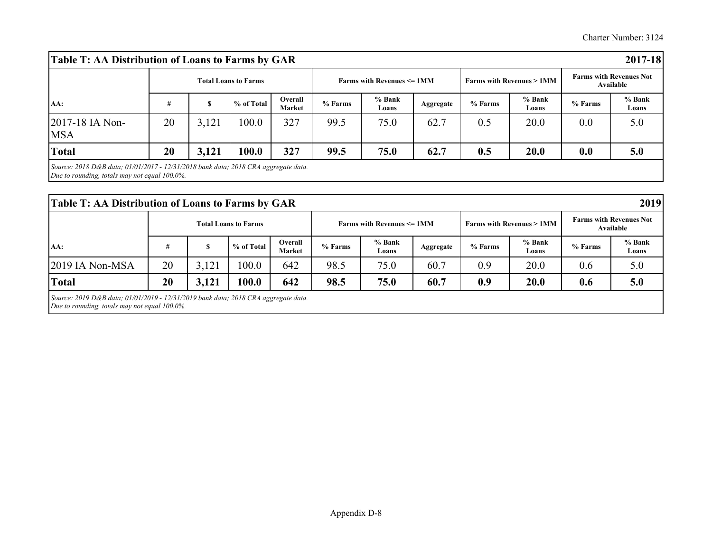| Table T: AA Distribution of Loans to Farms by GAR                                                                                   |    |       |                             |                          |         |                                                   |           |         |                                     |                                             | 2017-18         |
|-------------------------------------------------------------------------------------------------------------------------------------|----|-------|-----------------------------|--------------------------|---------|---------------------------------------------------|-----------|---------|-------------------------------------|---------------------------------------------|-----------------|
| AA:                                                                                                                                 |    |       | <b>Total Loans to Farms</b> |                          |         | <b>Farms with Revenues <math>\leq 1</math> MM</b> |           |         | <b>Farms with Revenues &gt; 1MM</b> | <b>Farms with Revenues Not</b><br>Available |                 |
|                                                                                                                                     |    | S     | % of Total                  | Overall<br><b>Market</b> | % Farms | % Bank<br>Loans                                   | Aggregate | % Farms | % Bank<br>Loans                     | % Farms                                     | % Bank<br>Loans |
| 2017-18 IA Non-<br><b>MSA</b>                                                                                                       | 20 | 3,121 | 100.0                       | 327                      | 99.5    | 75.0                                              | 62.7      | 0.5     | 20.0                                | 0.0                                         | 5.0             |
| <b>Total</b>                                                                                                                        | 20 | 3,121 | 100.0                       | 327                      | 99.5    | 75.0                                              | 62.7      | 0.5     | 20.0                                | 0.0                                         | 5.0             |
| Source: 2018 D&B data; 01/01/2017 - 12/31/2018 bank data; 2018 CRA aggregate data.<br>Due to rounding, totals may not equal 100.0%. |    |       |                             |                          |         |                                                   |           |         |                                     |                                             |                 |

| Table T: AA Distribution of Loans to Farms by GAR                                                                                   |    |       |                             |                   |         |                                                   |           |         |                                     |                                             | 2019            |
|-------------------------------------------------------------------------------------------------------------------------------------|----|-------|-----------------------------|-------------------|---------|---------------------------------------------------|-----------|---------|-------------------------------------|---------------------------------------------|-----------------|
| AA:                                                                                                                                 |    |       | <b>Total Loans to Farms</b> |                   |         | <b>Farms with Revenues <math>\leq 1</math> MM</b> |           |         | <b>Farms with Revenues &gt; 1MM</b> | <b>Farms with Revenues Not</b><br>Available |                 |
|                                                                                                                                     | #  | S     | % of Total                  | Overall<br>Market | % Farms | % Bank<br>Loans                                   | Aggregate | % Farms | % Bank<br>Loans                     | % Farms                                     | % Bank<br>Loans |
| $2019$ IA Non-MSA                                                                                                                   | 20 | 3,121 | 100.0                       | 642               | 98.5    | 75.0                                              | 60.7      | 0.9     | 20.0                                | 0.6                                         | 5.0             |
| <b>Total</b>                                                                                                                        | 20 | 3,121 | 100.0                       | 642               | 98.5    | 75.0                                              | 60.7      | 0.9     | 20.0                                | 0.6                                         | 5.0             |
| Source: 2019 D&B data; 01/01/2019 - 12/31/2019 bank data; 2018 CRA aggregate data.<br>Due to rounding, totals may not equal 100.0%. |    |       |                             |                   |         |                                                   |           |         |                                     |                                             |                 |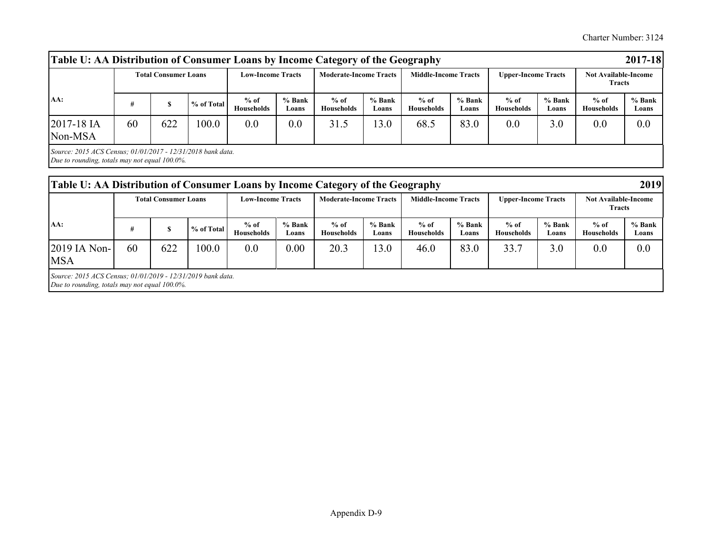Charter Number: 3124

| AA:                   | <b>Total Consumer Loans</b> |     |            | <b>Low-Income Tracts</b>    |                 | <b>Moderate-Income Tracts</b> |                   | <b>Middle-Income Tracts</b> |                   | <b>Upper-Income Tracts</b> |                 | <b>Not Available-Income</b><br><b>Tracts</b> |                 |
|-----------------------|-----------------------------|-----|------------|-----------------------------|-----------------|-------------------------------|-------------------|-----------------------------|-------------------|----------------------------|-----------------|----------------------------------------------|-----------------|
|                       | #                           |     | % of Total | $%$ of<br><b>Households</b> | % Bank<br>Loans | $%$ of<br>Households          | $%$ Bank<br>Loans | $%$ of<br><b>Households</b> | $%$ Bank<br>Loans | $%$ of<br>Households       | % Bank<br>Loans | $%$ of<br><b>Households</b>                  | % Bank<br>Loans |
| 2017-18 IA<br>Non-MSA | 60                          | 622 | 100.0      | 0.0                         | 0.0             | 31.5                          | 13.0              | 68.5                        | 83.0              | 0.0                        | 3.0             | 0.0                                          | 0.0             |

| Table U: AA Distribution of Consumer Loans by Income Category of the Geography                               |    |                             |            |                             |                 |                               |                 |                             |                 |                             |                 |                                              | 2019            |
|--------------------------------------------------------------------------------------------------------------|----|-----------------------------|------------|-----------------------------|-----------------|-------------------------------|-----------------|-----------------------------|-----------------|-----------------------------|-----------------|----------------------------------------------|-----------------|
|                                                                                                              |    | <b>Total Consumer Loans</b> |            | <b>Low-Income Tracts</b>    |                 | <b>Moderate-Income Tracts</b> |                 | <b>Middle-Income Tracts</b> |                 | <b>Upper-Income Tracts</b>  |                 | <b>Not Available-Income</b><br><b>Tracts</b> |                 |
| AA:                                                                                                          | #  |                             | % of Total | $%$ of<br><b>Households</b> | % Bank<br>Loans | $%$ of<br>Households          | % Bank<br>Loans | $%$ of<br><b>Households</b> | % Bank<br>Loans | $%$ of<br><b>Households</b> | % Bank<br>Loans | $%$ of<br>Households                         | % Bank<br>Loans |
| $2019$ IA Non-<br><b>MSA</b>                                                                                 | 60 | 622                         | 100.0      | 0.0                         | 0.00            | 20.3                          | 13.0            | 46.0                        | 83.0            | 33.7                        | 3.0             | 0.0                                          | 0.0             |
| Source: 2015 ACS Census; 01/01/2019 - 12/31/2019 bank data.<br>Due to rounding, totals may not equal 100.0%. |    |                             |            |                             |                 |                               |                 |                             |                 |                             |                 |                                              |                 |